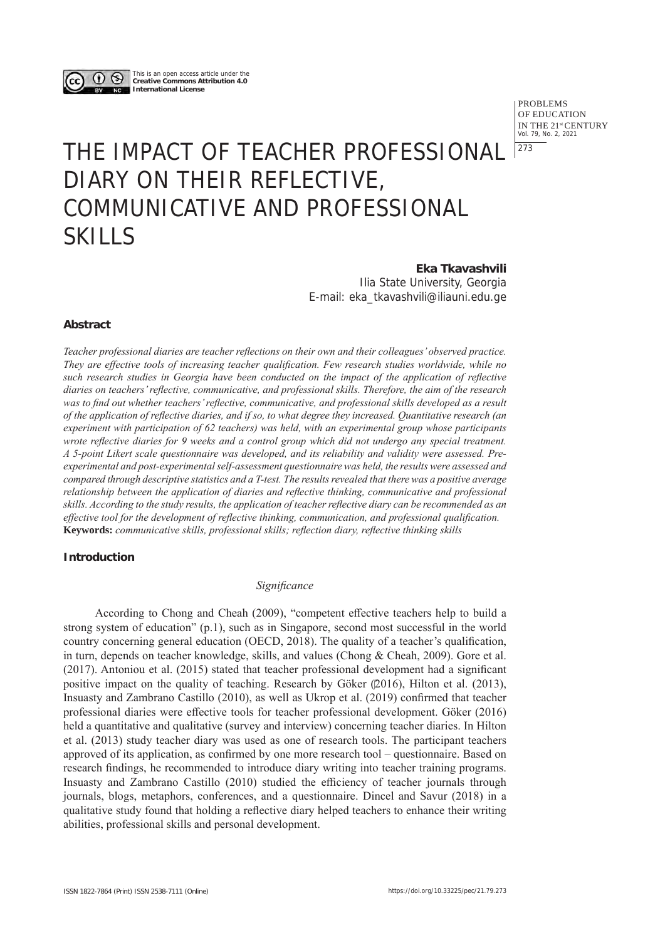

This is an open access article under the **Creative Commons Attribution 4.0 International License**

> PROBLEMS OF EDUCATION IN THE 21st CENTURY Vol. 79, No. 2, 2021 | 273

# THE IMPACT OF TEACHER PROFESSIONAL DIARY ON THEIR REFLECTIVE, COMMUNICATIVE AND PROFESSIONAL SKILLS

**Eka Tkavashvili** Ilia State University, Georgia E-mail: eka\_tkavashvili@iliauni.edu.ge

## **Abstract**

*Teacher professional diaries are teacher reflections on their own and their colleagues' observed practice. They are effective tools of increasing teacher qualification. Few research studies worldwide, while no such research studies in Georgia have been conducted on the impact of the application of reflective diaries on teachers' reflective, communicative, and professional skills. Therefore, the aim of the research was to find out whether teachers' reflective, communicative, and professional skills developed as a result of the application of reflective diaries, and if so, to what degree they increased. Quantitative research (an experiment with participation of 62 teachers) was held, with an experimental group whose participants wrote reflective diaries for 9 weeks and a control group which did not undergo any special treatment. A 5-point Likert scale questionnaire was developed, and its reliability and validity were assessed. Preexperimental and post-experimental self-assessment questionnaire was held, the results were assessed and compared through descriptive statistics and a T-test. The results revealed that there was a positive average relationship between the application of diaries and reflective thinking, communicative and professional skills. According to the study results, the application of teacher reflective diary can be recommended as an effective tool for the development of reflective thinking, communication, and professional qualification.*  **Keywords:** *communicative skills, professional skills; reflection diary, reflective thinking skills* 

## **Introduction**

## *Significance*

According to Chong and Cheah (2009), "competent effective teachers help to build a strong system of education" (p.1), such as in Singapore, second most successful in the world country concerning general education (OECD, 2018). The quality of a teacher's qualification, in turn, depends on teacher knowledge, skills, and values (Chong & Cheah, 2009). Gore et al. (2017). Antoniou et al. (2015) stated that teacher professional development had a significant positive impact on the quality of teaching. Research by Göker (2016), Hilton et al. (2013), Insuasty and Zambrano Castillo (2010), as well as Ukrop et al. (2019) confirmed that teacher professional diaries were effective tools for teacher professional development. Göker (2016) held a quantitative and qualitative (survey and interview) concerning teacher diaries. In Hilton et al. (2013) study teacher diary was used as one of research tools. The participant teachers approved of its application, as confirmed by one more research tool – questionnaire. Based on research findings, he recommended to introduce diary writing into teacher training programs. Insuasty and Zambrano Castillo (2010) studied the efficiency of teacher journals through journals, blogs, metaphors, conferences, and a questionnaire. Dincel and Savur (2018) in a qualitative study found that holding a reflective diary helped teachers to enhance their writing abilities, professional skills and personal development.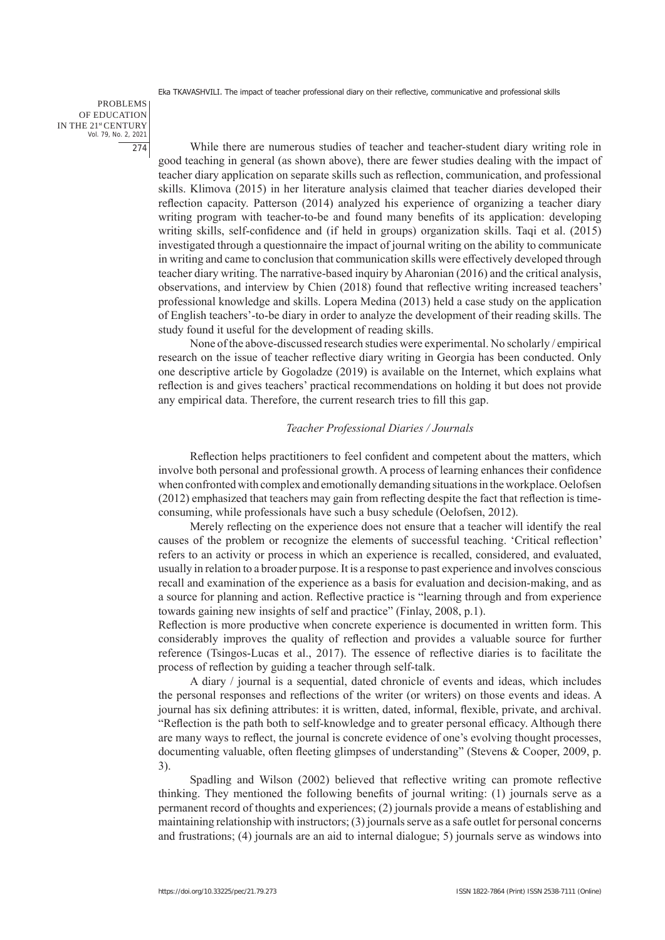PROBLEMS OF EDUCATION IN THE 21st CENTURY Vol. 79, No. 2, 2021 274

While there are numerous studies of teacher and teacher-student diary writing role in good teaching in general (as shown above), there are fewer studies dealing with the impact of teacher diary application on separate skills such as reflection, communication, and professional skills. Klimova (2015) in her literature analysis claimed that teacher diaries developed their reflection capacity. Patterson (2014) analyzed his experience of organizing a teacher diary writing program with teacher-to-be and found many benefits of its application: developing writing skills, self-confidence and (if held in groups) organization skills. Taqi et al. (2015) investigated through a questionnaire the impact of journal writing on the ability to communicate in writing and came to conclusion that communication skills were effectively developed through teacher diary writing. The narrative-based inquiry by Aharonian (2016) and the critical analysis, observations, and interview by Chien (2018) found that reflective writing increased teachers' professional knowledge and skills. Lopera Medina (2013) held a case study on the application of English teachers'-to-be diary in order to analyze the development of their reading skills. The study found it useful for the development of reading skills.

None of the above-discussed research studies were experimental. No scholarly / empirical research on the issue of teacher reflective diary writing in Georgia has been conducted. Only one descriptive article by Gogoladze (2019) is available on the Internet, which explains what reflection is and gives teachers' practical recommendations on holding it but does not provide any empirical data. Therefore, the current research tries to fill this gap.

#### *Teacher Professional Diaries / Journals*

Reflection helps practitioners to feel confident and competent about the matters, which involve both personal and professional growth. A process of learning enhances their confidence when confronted with complex and emotionally demanding situations in the workplace. Oelofsen (2012) emphasized that teachers may gain from reflecting despite the fact that reflection is timeconsuming, while professionals have such a busy schedule (Oelofsen, 2012).

Merely reflecting on the experience does not ensure that a teacher will identify the real causes of the problem or recognize the elements of successful teaching. 'Critical reflection' refers to an activity or process in which an experience is recalled, considered, and evaluated, usually in relation to a broader purpose. It is a response to past experience and involves conscious recall and examination of the experience as a basis for evaluation and decision-making, and as a source for planning and action. Reflective practice is "learning through and from experience towards gaining new insights of self and practice" (Finlay, 2008, p.1).

Reflection is more productive when concrete experience is documented in written form. This considerably improves the quality of reflection and provides a valuable source for further reference (Tsingos-Lucas et al., 2017). The essence of reflective diaries is to facilitate the process of reflection by guiding a teacher through self-talk.

A diary / journal is a sequential, dated chronicle of events and ideas, which includes the personal responses and reflections of the writer (or writers) on those events and ideas. A journal has six defining attributes: it is written, dated, informal, flexible, private, and archival. "Reflection is the path both to self-knowledge and to greater personal efficacy. Although there are many ways to reflect, the journal is concrete evidence of one's evolving thought processes, documenting valuable, often fleeting glimpses of understanding" (Stevens & Cooper, 2009, p. 3).

Spadling and Wilson (2002) believed that reflective writing can promote reflective thinking. They mentioned the following benefits of journal writing: (1) journals serve as a permanent record of thoughts and experiences; (2) journals provide a means of establishing and maintaining relationship with instructors; (3) journals serve as a safe outlet for personal concerns and frustrations; (4) journals are an aid to internal dialogue; 5) journals serve as windows into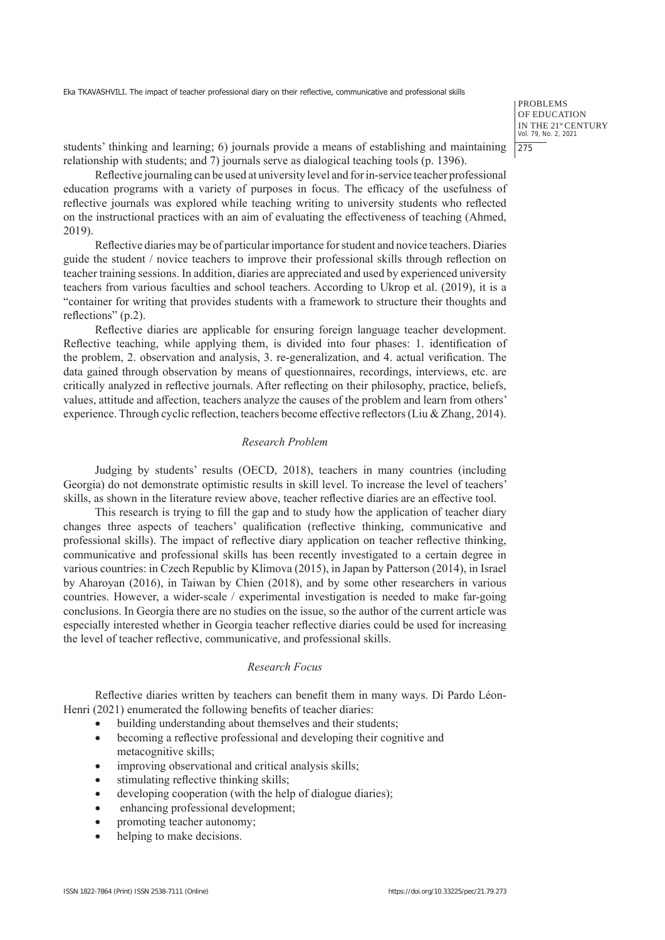PROBLEMS OF EDUCATION IN THE 21<sup>st</sup> CENTURY<br>Vol. 79, No. 2, 2021 275

students' thinking and learning; 6) journals provide a means of establishing and maintaining relationship with students; and 7) journals serve as dialogical teaching tools (p. 1396).

Reflective journaling can be used at university level and for in-service teacher professional education programs with a variety of purposes in focus. The efficacy of the usefulness of reflective journals was explored while teaching writing to university students who reflected on the instructional practices with an aim of evaluating the effectiveness of teaching (Ahmed, 2019).

Reflective diaries may be of particular importance for student and novice teachers. Diaries guide the student / novice teachers to improve their professional skills through reflection on teacher training sessions. In addition, diaries are appreciated and used by experienced university teachers from various faculties and school teachers. According to Ukrop et al. (2019), it is a "container for writing that provides students with a framework to structure their thoughts and reflections" (p.2).

Reflective diaries are applicable for ensuring foreign language teacher development. Reflective teaching, while applying them, is divided into four phases: 1. identification of the problem, 2. observation and analysis, 3. re-generalization, and 4. actual verification. The data gained through observation by means of questionnaires, recordings, interviews, etc. are critically analyzed in reflective journals. After reflecting on their philosophy, practice, beliefs, values, attitude and affection, teachers analyze the causes of the problem and learn from others' experience. Through cyclic reflection, teachers become effective reflectors (Liu & Zhang, 2014).

## *Research Problem*

Judging by students' results (OECD, 2018), teachers in many countries (including Georgia) do not demonstrate optimistic results in skill level. To increase the level of teachers' skills, as shown in the literature review above, teacher reflective diaries are an effective tool.

This research is trying to fill the gap and to study how the application of teacher diary changes three aspects of teachers' qualification (reflective thinking, communicative and professional skills). The impact of reflective diary application on teacher reflective thinking, communicative and professional skills has been recently investigated to a certain degree in various countries: in Czech Republic by Klimova (2015), in Japan by Patterson (2014), in Israel by Aharoyan (2016), in Taiwan by Chien (2018), and by some other researchers in various countries. However, a wider-scale / experimental investigation is needed to make far-going conclusions. In Georgia there are no studies on the issue, so the author of the current article was especially interested whether in Georgia teacher reflective diaries could be used for increasing the level of teacher reflective, communicative, and professional skills.

## *Research Focus*

Reflective diaries written by teachers can benefit them in many ways. Di Pardo Léon-Henri (2021) enumerated the following benefits of teacher diaries:

- building understanding about themselves and their students;
- becoming a reflective professional and developing their cognitive and metacognitive skills;
- improving observational and critical analysis skills;
- stimulating reflective thinking skills;
- developing cooperation (with the help of dialogue diaries);
- enhancing professional development;
- promoting teacher autonomy;
- helping to make decisions.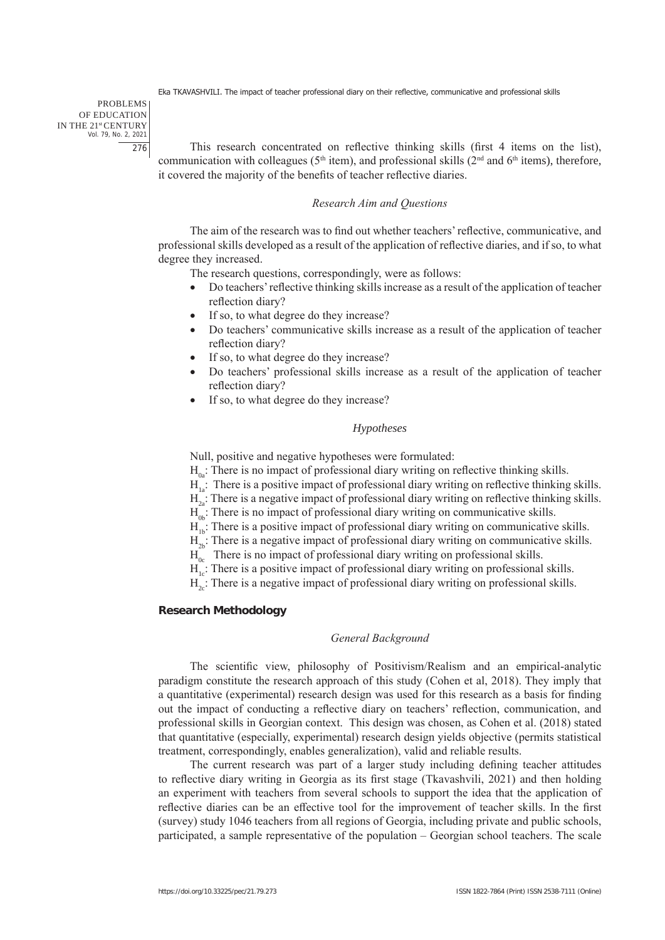PROBLEMS OF EDUCATION IN THE 21st CENTURY Vol. 79, No. 2, 2021 276

This research concentrated on reflective thinking skills (first 4 items on the list), communication with colleagues ( $5<sup>th</sup>$  item), and professional skills ( $2<sup>nd</sup>$  and  $6<sup>th</sup>$  items), therefore, it covered the majority of the benefits of teacher reflective diaries.

## *Research Aim and Questions*

The aim of the research was to find out whether teachers' reflective, communicative, and professional skills developed as a result of the application of reflective diaries, and if so, to what degree they increased.

The research questions, correspondingly, were as follows:

- Do teachers' reflective thinking skills increase as a result of the application of teacher reflection diary?
- If so, to what degree do they increase?
- Do teachers' communicative skills increase as a result of the application of teacher reflection diary?
- If so, to what degree do they increase?
- Do teachers' professional skills increase as a result of the application of teacher reflection diary?
- If so, to what degree do they increase?

## *Hypotheses*

Null, positive and negative hypotheses were formulated:

 $H<sub>o</sub>$ : There is no impact of professional diary writing on reflective thinking skills.

 $H<sub>1</sub>$ : There is a positive impact of professional diary writing on reflective thinking skills.

 $H_{2a}$ : There is a negative impact of professional diary writing on reflective thinking skills.

 $H<sub>o</sub>$ : There is no impact of professional diary writing on communicative skills.

 $H<sub>11</sub>$ : There is a positive impact of professional diary writing on communicative skills.

 $H_{2k}$ : There is a negative impact of professional diary writing on communicative skills.

 $H_{0c}$  There is no impact of professional diary writing on professional skills.

 $H_{1,c}^{\uparrow}$ : There is a positive impact of professional diary writing on professional skills.

 $H<sub>2c</sub>$ : There is a negative impact of professional diary writing on professional skills.

#### **Research Methodology**

#### *General Background*

The scientific view, philosophy of Positivism/Realism and an empirical-analytic paradigm constitute the research approach of this study (Cohen et al, 2018). They imply that a quantitative (experimental) research design was used for this research as a basis for finding out the impact of conducting a reflective diary on teachers' reflection, communication, and professional skills in Georgian context. This design was chosen, as Cohen et al. (2018) stated that quantitative (especially, experimental) research design yields objective (permits statistical treatment, correspondingly, enables generalization), valid and reliable results.

The current research was part of a larger study including defining teacher attitudes to reflective diary writing in Georgia as its first stage (Tkavashvili, 2021) and then holding an experiment with teachers from several schools to support the idea that the application of reflective diaries can be an effective tool for the improvement of teacher skills. In the first (survey) study 1046 teachers from all regions of Georgia, including private and public schools, participated, a sample representative of the population – Georgian school teachers. The scale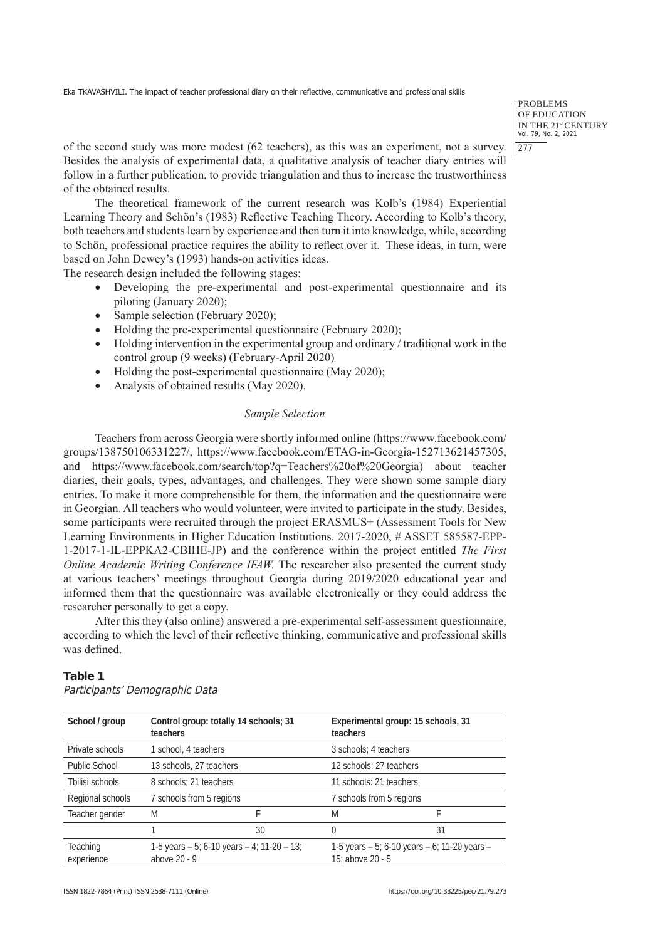PROBLEMS OF EDUCATION IN THE 21<sup>st</sup> CENTURY<br>Vol. 79, No. 2, 2021 277

of the second study was more modest (62 teachers), as this was an experiment, not a survey. Besides the analysis of experimental data, a qualitative analysis of teacher diary entries will follow in a further publication, to provide triangulation and thus to increase the trustworthiness of the obtained results.

The theoretical framework of the current research was Kolb's (1984) Experiential Learning Theory and Schön's (1983) Reflective Teaching Theory. According to Kolb's theory, both teachers and students learn by experience and then turn it into knowledge, while, according to Schön, professional practice requires the ability to reflect over it. These ideas, in turn, were based on John Dewey's (1993) hands-on activities ideas.

The research design included the following stages:

- Developing the pre-experimental and post-experimental questionnaire and its piloting (January 2020);
- Sample selection (February 2020);
- Holding the pre-experimental questionnaire (February 2020);
- $\bullet$  Holding intervention in the experimental group and ordinary / traditional work in the control group (9 weeks) (February-April 2020)
- Holding the post-experimental questionnaire (May 2020);
- Analysis of obtained results (May 2020).

## *Sample Selection*

Teachers from across Georgia were shortly informed online (https://www.facebook.com/ groups/138750106331227/, https://www.facebook.com/ETAG-in-Georgia-152713621457305, and https://www.facebook.com/search/top?q=Teachers%20of%20Georgia) about teacher diaries, their goals, types, advantages, and challenges. They were shown some sample diary entries. To make it more comprehensible for them, the information and the questionnaire were in Georgian. All teachers who would volunteer, were invited to participate in the study. Besides, some participants were recruited through the project ERASMUS+ (Assessment Tools for New Learning Environments in Higher Education Institutions. 2017-2020, # ASSET 585587-EPP-1-2017-1-IL-EPPKA2-CBIHE-JP) and the conference within the project entitled *The First Online Academic Writing Conference IFAW.* The researcher also presented the current study at various teachers' meetings throughout Georgia during 2019/2020 educational year and informed them that the questionnaire was available electronically or they could address the researcher personally to get a copy.

After this they (also online) answered a pre-experimental self-assessment questionnaire, according to which the level of their reflective thinking, communicative and professional skills was defined.

## **Table 1**

| School / group                | Control group: totally 14 schools; 31<br>teachers                |    | Experimental group: 15 schools, 31<br>teachers                         |    |
|-------------------------------|------------------------------------------------------------------|----|------------------------------------------------------------------------|----|
| Private schools               | 1 school, 4 teachers                                             |    | 3 schools: 4 teachers                                                  |    |
| Public School                 | 13 schools, 27 teachers                                          |    | 12 schools: 27 teachers                                                |    |
| Thilisi schools               | 8 schools; 21 teachers                                           |    | 11 schools: 21 teachers                                                |    |
| Regional schools              | 7 schools from 5 regions                                         |    | 7 schools from 5 regions                                               |    |
| Teacher gender                | M                                                                |    | M                                                                      | F  |
|                               |                                                                  | 30 | 0                                                                      | 31 |
| <b>Teaching</b><br>experience | 1-5 years $-5$ ; 6-10 years $-4$ ; 11-20 $-13$ ;<br>above 20 - 9 |    | 1-5 years $-5$ ; 6-10 years $-6$ ; 11-20 years $-$<br>15: above 20 - 5 |    |

Participants' Demographic Data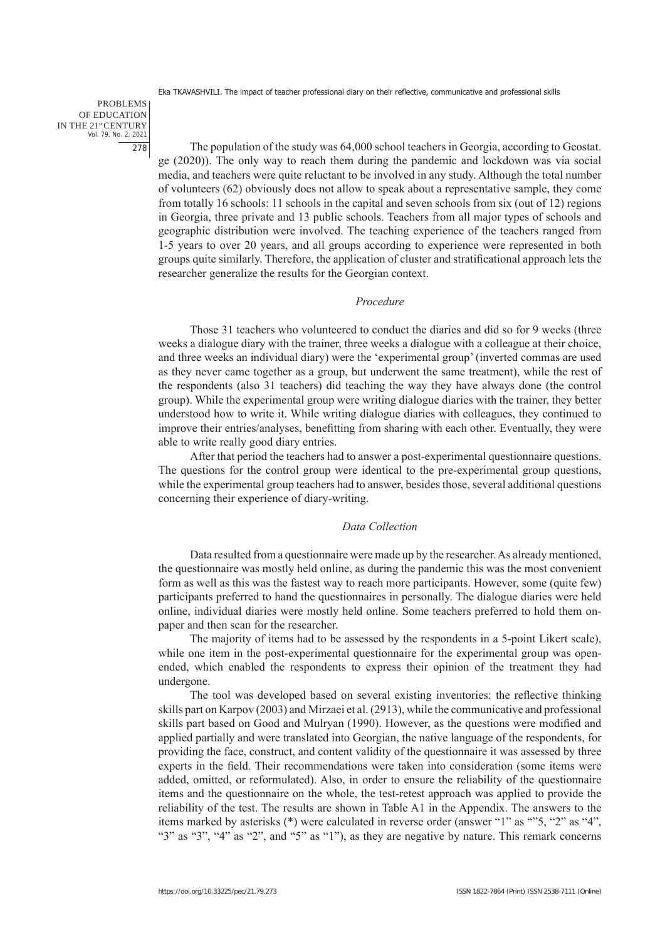PROBLEMS OF EDUCATION IN THE 21st CENTURY Vol. 79, No. 2, 2021 278

The population of the study was 64,000 school teachers in Georgia, according to Geostat. ge (2020)). The only way to reach them during the pandemic and lockdown was via social media, and teachers were quite reluctant to be involved in any study. Although the total number of volunteers (62) obviously does not allow to speak about a representative sample, they come from totally 16 schools: 11 schools in the capital and seven schools from six (out of 12) regions in Georgia, three private and 13 public schools. Teachers from all major types of schools and geographic distribution were involved. The teaching experience of the teachers ranged from 1-5 years to over 20 years, and all groups according to experience were represented in both groups quite similarly. Therefore, the application of cluster and stratificational approach lets the researcher generalize the results for the Georgian context.

## *Procedure*

Those 31 teachers who volunteered to conduct the diaries and did so for 9 weeks (three weeks a dialogue diary with the trainer, three weeks a dialogue with a colleague at their choice, and three weeks an individual diary) were the 'experimental group' (inverted commas are used as they never came together as a group, but underwent the same treatment), while the rest of the respondents (also 31 teachers) did teaching the way they have always done (the control group). While the experimental group were writing dialogue diaries with the trainer, they better understood how to write it. While writing dialogue diaries with colleagues, they continued to improve their entries/analyses, benefitting from sharing with each other. Eventually, they were able to write really good diary entries.

After that period the teachers had to answer a post-experimental questionnaire questions. The questions for the control group were identical to the pre-experimental group questions, while the experimental group teachers had to answer, besides those, several additional questions concerning their experience of diary-writing.

## *Data Collection*

Data resulted from a questionnaire were made up by the researcher. As already mentioned, the questionnaire was mostly held online, as during the pandemic this was the most convenient form as well as this was the fastest way to reach more participants. However, some (quite few) participants preferred to hand the questionnaires in personally. The dialogue diaries were held online, individual diaries were mostly held online. Some teachers preferred to hold them onpaper and then scan for the researcher.

The majority of items had to be assessed by the respondents in a 5-point Likert scale), while one item in the post-experimental questionnaire for the experimental group was openended, which enabled the respondents to express their opinion of the treatment they had undergone.

The tool was developed based on several existing inventories: the reflective thinking skills part on Karpov (2003) and Mirzaei et al. (2913), while the communicative and professional skills part based on Good and Mulryan (1990). However, as the questions were modified and applied partially and were translated into Georgian, the native language of the respondents, for providing the face, construct, and content validity of the questionnaire it was assessed by three experts in the field. Their recommendations were taken into consideration (some items were added, omitted, or reformulated). Also, in order to ensure the reliability of the questionnaire items and the questionnaire on the whole, the test-retest approach was applied to provide the reliability of the test. The results are shown in Table A1 in the Appendix. The answers to the items marked by asterisks (\*) were calculated in reverse order (answer "1" as ""5, "2" as "4", "3" as "3", "4" as "2", and "5" as "1"), as they are negative by nature. This remark concerns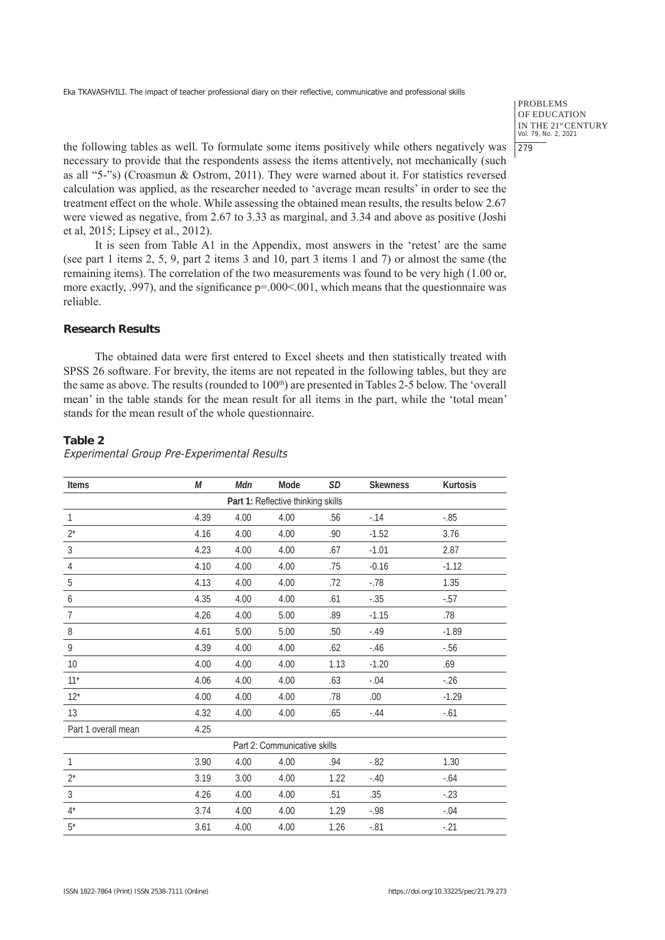PROBLEMS OF EDUCATION IN THE 21<sup>st</sup> CENTURY<br>Vol. 79, No. 2, 2021 279

the following tables as well. To formulate some items positively while others negatively was necessary to provide that the respondents assess the items attentively, not mechanically (such as all "5-"s) (Croasmun & Ostrom, 2011). They were warned about it. For statistics reversed calculation was applied, as the researcher needed to 'average mean results' in order to see the treatment effect on the whole. While assessing the obtained mean results, the results below 2.67 were viewed as negative, from 2.67 to 3.33 as marginal, and 3.34 and above as positive (Joshi et al, 2015; Lipsey et al., 2012).

It is seen from Table A1 in the Appendix, most answers in the 'retest' are the same (see part 1 items 2, 5, 9, part 2 items 3 and 10, part 3 items 1 and 7) or almost the same (the remaining items). The correlation of the two measurements was found to be very high (1.00 or, more exactly, .997), and the significance  $p=0.00<0.01$ , which means that the questionnaire was reliable.

## **Research Results**

The obtained data were first entered to Excel sheets and then statistically treated with SPSS 26 software. For brevity, the items are not repeated in the following tables, but they are the same as above. The results (rounded to  $100<sup>th</sup>$ ) are presented in Tables 2-5 below. The 'overall mean' in the table stands for the mean result for all items in the part, while the 'total mean' stands for the mean result of the whole questionnaire.

#### **Table 2**

| <b>Items</b>        | М    | Mdn  | Mode                               | <b>SD</b> | <b>Skewness</b> | <b>Kurtosis</b> |
|---------------------|------|------|------------------------------------|-----------|-----------------|-----------------|
|                     |      |      | Part 1: Reflective thinking skills |           |                 |                 |
| $\mathbf{1}$        | 4.39 | 4.00 | 4.00                               | .56       | $-14$           | $-0.85$         |
| $2^*$               | 4.16 | 4.00 | 4.00                               | .90       | $-1.52$         | 3.76            |
| $\mathfrak{Z}$      | 4.23 | 4.00 | 4.00                               | .67       | $-1.01$         | 2.87            |
| $\overline{4}$      | 4.10 | 4.00 | 4.00                               | .75       | $-0.16$         | $-1.12$         |
| 5                   | 4.13 | 4.00 | 4.00                               | .72       | $-.78$          | 1.35            |
| 6                   | 4.35 | 4.00 | 4.00                               | .61       | $-.35$          | $-0.57$         |
| $\overline{7}$      | 4.26 | 4.00 | 5.00                               | .89       | $-1.15$         | .78             |
| 8                   | 4.61 | 5.00 | 5.00                               | .50       | $-.49$          | $-1.89$         |
| 9                   | 4.39 | 4.00 | 4.00                               | .62       | $-46$           | $-56$           |
| 10                  | 4.00 | 4.00 | 4.00                               | 1.13      | $-1.20$         | .69             |
| $11*$               | 4.06 | 4.00 | 4.00                               | .63       | $-.04$          | $-26$           |
| $12*$               | 4.00 | 4.00 | 4.00                               | .78       | .00.            | $-1.29$         |
| 13                  | 4.32 | 4.00 | 4.00                               | .65       | $-.44$          | $-.61$          |
| Part 1 overall mean | 4.25 |      |                                    |           |                 |                 |
|                     |      |      | Part 2: Communicative skills       |           |                 |                 |
| $\mathbf{1}$        | 3.90 | 4.00 | 4.00                               | .94       | $-0.82$         | 1.30            |
| $2^*$               | 3.19 | 3.00 | 4.00                               | 1.22      | $-.40$          | $-.64$          |
| $\sqrt{3}$          | 4.26 | 4.00 | 4.00                               | .51       | .35             | $-23$           |
| $4^*$               | 3.74 | 4.00 | 4.00                               | 1.29      | $-0.98$         | $-.04$          |
| $5^*$               | 3.61 | 4.00 | 4.00                               | 1.26      | $-.81$          | $-.21$          |

Experimental Group Pre-Experimental Results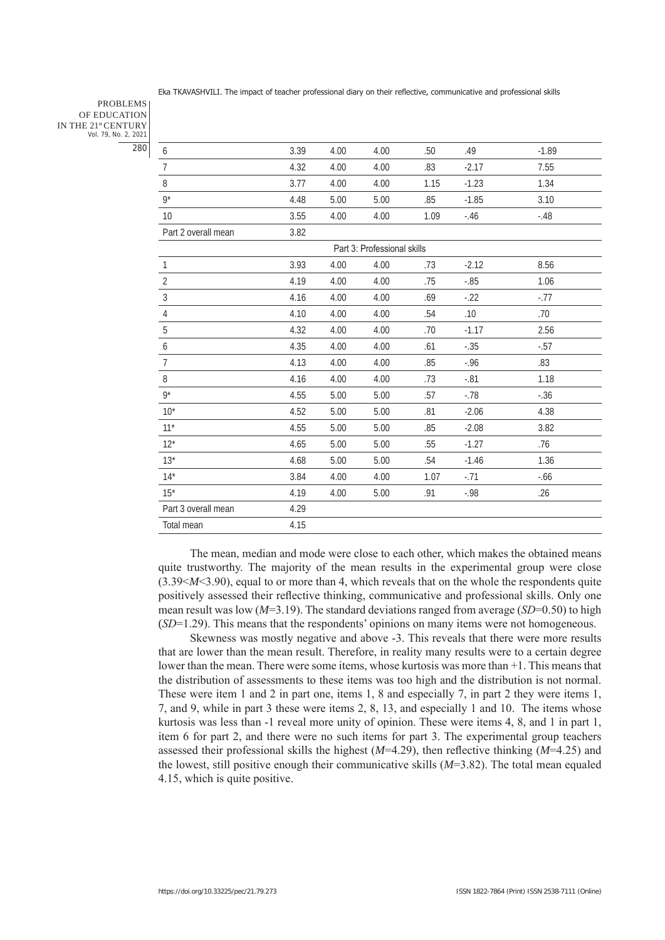PROBLEMS OF EDUCATION IN THE 21st CENTURY Vol. 79, No. 2, 2021 280

| 6                   | 3.39 | 4.00 | 4.00                        | .50  | .49     | $-1.89$ |  |
|---------------------|------|------|-----------------------------|------|---------|---------|--|
| $\overline{7}$      | 4.32 | 4.00 | 4.00                        | .83  | $-2.17$ | 7.55    |  |
| 8                   | 3.77 | 4.00 | 4.00                        | 1.15 | $-1.23$ | 1.34    |  |
| $9*$                | 4.48 | 5.00 | 5.00                        | .85  | $-1.85$ | 3.10    |  |
| 10                  | 3.55 | 4.00 | 4.00                        | 1.09 | $-.46$  | $-.48$  |  |
| Part 2 overall mean | 3.82 |      |                             |      |         |         |  |
|                     |      |      | Part 3: Professional skills |      |         |         |  |
| $\mathbf{1}$        | 3.93 | 4.00 | 4.00                        | .73  | $-2.12$ | 8.56    |  |
| $\overline{2}$      | 4.19 | 4.00 | 4.00                        | .75  | $-0.85$ | 1.06    |  |
| $\overline{3}$      | 4.16 | 4.00 | 4.00                        | .69  | $-22$   | $-77$   |  |
| $\overline{4}$      | 4.10 | 4.00 | 4.00                        | .54  | .10     | .70     |  |
| 5                   | 4.32 | 4.00 | 4.00                        | .70  | $-1.17$ | 2.56    |  |
| 6                   | 4.35 | 4.00 | 4.00                        | .61  | $-.35$  | $-0.57$ |  |
| $\overline{7}$      | 4.13 | 4.00 | 4.00                        | .85  | $-0.96$ | .83     |  |
| $\, 8$              | 4.16 | 4.00 | 4.00                        | .73  | $-.81$  | 1.18    |  |
| $9*$                | 4.55 | 5.00 | 5.00                        | .57  | $-78$   | $-.36$  |  |
| $10^*$              | 4.52 | 5.00 | 5.00                        | .81  | $-2.06$ | 4.38    |  |
| $11*$               | 4.55 | 5.00 | 5.00                        | .85  | $-2.08$ | 3.82    |  |
| $12*$               | 4.65 | 5.00 | 5.00                        | .55  | $-1.27$ | .76     |  |
| $13*$               | 4.68 | 5.00 | 5.00                        | .54  | $-1.46$ | 1.36    |  |
| $14*$               | 3.84 | 4.00 | 4.00                        | 1.07 | $-71$   | $-0.66$ |  |
| $15*$               | 4.19 | 4.00 | 5.00                        | .91  | $-.98$  | .26     |  |
| Part 3 overall mean | 4.29 |      |                             |      |         |         |  |
| Total mean          | 4.15 |      |                             |      |         |         |  |
|                     |      |      |                             |      |         |         |  |

The mean, median and mode were close to each other, which makes the obtained means quite trustworthy. The majority of the mean results in the experimental group were close (3.39<*M*<3.90), equal to or more than 4, which reveals that on the whole the respondents quite positively assessed their reflective thinking, communicative and professional skills. Only one mean result was low ( $M=3.19$ ). The standard deviations ranged from average ( $SD=0.50$ ) to high (*SD*=1.29). This means that the respondents' opinions on many items were not homogeneous.

Skewness was mostly negative and above -3. This reveals that there were more results that are lower than the mean result. Therefore, in reality many results were to a certain degree lower than the mean. There were some items, whose kurtosis was more than +1. This means that the distribution of assessments to these items was too high and the distribution is not normal. These were item 1 and 2 in part one, items 1, 8 and especially 7, in part 2 they were items 1, 7, and 9, while in part 3 these were items 2, 8, 13, and especially 1 and 10. The items whose kurtosis was less than -1 reveal more unity of opinion. These were items 4, 8, and 1 in part 1, item 6 for part 2, and there were no such items for part 3. The experimental group teachers assessed their professional skills the highest (*M*=4.29), then reflective thinking (*M*=4.25) and the lowest, still positive enough their communicative skills (*M*=3.82). The total mean equaled 4.15, which is quite positive.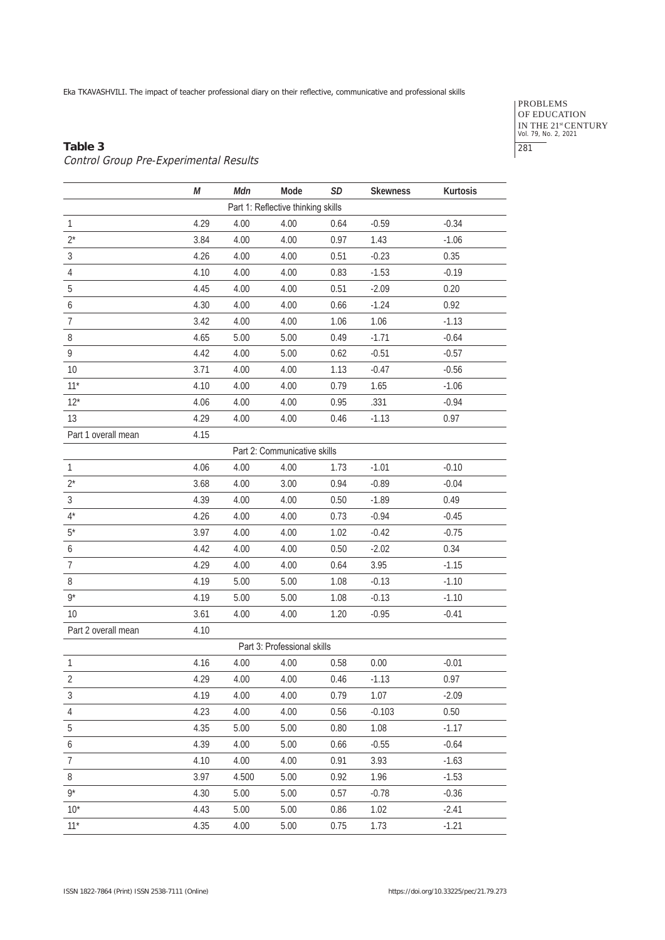PROBLEMS OF EDUCATION IN THE 21<sup>st</sup> CENTURY<br>Vol. 79, No. 2, 2021 281

## **Table 3** Control Group Pre-Experimental Results

|                          | М    | Mdn   | Mode                               | <b>SD</b> | <b>Skewness</b> | Kurtosis |
|--------------------------|------|-------|------------------------------------|-----------|-----------------|----------|
|                          |      |       | Part 1: Reflective thinking skills |           |                 |          |
| $\mathbf{1}$             | 4.29 | 4.00  | 4.00                               | 0.64      | $-0.59$         | $-0.34$  |
| $2^*$                    | 3.84 | 4.00  | 4.00                               | 0.97      | 1.43            | $-1.06$  |
| $\mathfrak{Z}$           | 4.26 | 4.00  | 4.00                               | 0.51      | $-0.23$         | 0.35     |
| $\overline{4}$           | 4.10 | 4.00  | 4.00                               | 0.83      | $-1.53$         | $-0.19$  |
| 5                        | 4.45 | 4.00  | 4.00                               | 0.51      | $-2.09$         | 0.20     |
| 6                        | 4.30 | 4.00  | 4.00                               | 0.66      | $-1.24$         | 0.92     |
| $\overline{\mathcal{I}}$ | 3.42 | 4.00  | 4.00                               | 1.06      | 1.06            | $-1.13$  |
| 8                        | 4.65 | 5.00  | 5.00                               | 0.49      | $-1.71$         | $-0.64$  |
| 9                        | 4.42 | 4.00  | 5.00                               | 0.62      | $-0.51$         | $-0.57$  |
| 10                       | 3.71 | 4.00  | 4.00                               | 1.13      | $-0.47$         | $-0.56$  |
| $11*$                    | 4.10 | 4.00  | 4.00                               | 0.79      | 1.65            | $-1.06$  |
| $12*$                    | 4.06 | 4.00  | 4.00                               | 0.95      | .331            | $-0.94$  |
| 13                       | 4.29 | 4.00  | 4.00                               | 0.46      | $-1.13$         | 0.97     |
| Part 1 overall mean      | 4.15 |       |                                    |           |                 |          |
|                          |      |       | Part 2: Communicative skills       |           |                 |          |
| $\mathbf{1}$             | 4.06 | 4.00  | 4.00                               | 1.73      | $-1.01$         | $-0.10$  |
| $2^*$                    | 3.68 | 4.00  | 3.00                               | 0.94      | $-0.89$         | $-0.04$  |
| $\mathfrak{Z}$           | 4.39 | 4.00  | 4.00                               | 0.50      | $-1.89$         | 0.49     |
| $4^*$                    | 4.26 | 4.00  | 4.00                               | 0.73      | $-0.94$         | $-0.45$  |
| $5^*$                    | 3.97 | 4.00  | 4.00                               | 1.02      | $-0.42$         | $-0.75$  |
| 6                        | 4.42 | 4.00  | 4.00                               | 0.50      | $-2.02$         | 0.34     |
| $\overline{7}$           | 4.29 | 4.00  | 4.00                               | 0.64      | 3.95            | $-1.15$  |
| 8                        | 4.19 | 5.00  | 5.00                               | 1.08      | $-0.13$         | $-1.10$  |
| $9*$                     | 4.19 | 5.00  | 5.00                               | 1.08      | $-0.13$         | $-1.10$  |
| 10                       | 3.61 | 4.00  | 4.00                               | 1.20      | $-0.95$         | $-0.41$  |
| Part 2 overall mean      | 4.10 |       |                                    |           |                 |          |
|                          |      |       | Part 3: Professional skills        |           |                 |          |
| $\mathbf{1}$             | 4.16 | 4.00  | 4.00                               | 0.58      | 0.00            | $-0.01$  |
| $\overline{2}$           | 4.29 | 4.00  | 4.00                               | 0.46      | $-1.13$         | 0.97     |
| 3                        | 4.19 | 4.00  | 4.00                               | 0.79      | 1.07            | $-2.09$  |
| 4                        | 4.23 | 4.00  | 4.00                               | 0.56      | $-0.103$        | 0.50     |
| 5                        | 4.35 | 5.00  | 5.00                               | 0.80      | 1.08            | $-1.17$  |
| 6                        | 4.39 | 4.00  | 5.00                               | 0.66      | $-0.55$         | $-0.64$  |
| $\overline{7}$           | 4.10 | 4.00  | 4.00                               | 0.91      | 3.93            | $-1.63$  |
| 8                        | 3.97 | 4.500 | 5.00                               | 0.92      | 1.96            | $-1.53$  |
| $9*$                     | 4.30 | 5.00  | 5.00                               | 0.57      | $-0.78$         | $-0.36$  |
| $10^*$                   | 4.43 | 5.00  | 5.00                               | 0.86      | 1.02            | $-2.41$  |
| $11*$                    | 4.35 | 4.00  | 5.00                               | 0.75      | 1.73            | $-1.21$  |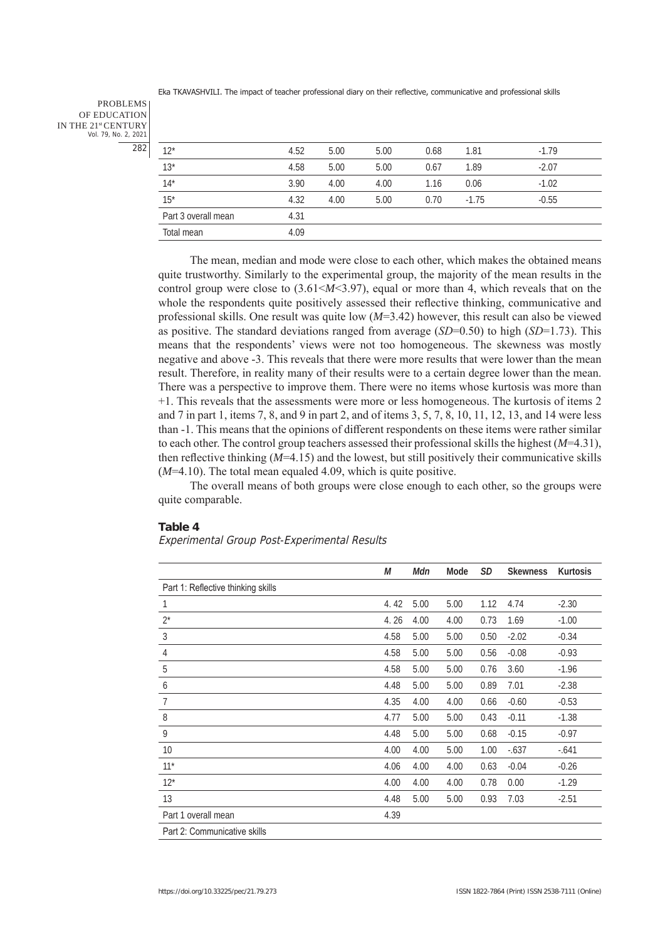PROBLEMS OF EDUCATION IN THE 21st CENTURY Vol. 79, No. 2, 2021 282

| $12*$               | 4.52 | 5.00 | 5.00 | 0.68 | 1.81    | $-1.79$ |
|---------------------|------|------|------|------|---------|---------|
| $13*$               | 4.58 | 5.00 | 5.00 | 0.67 | 1.89    | $-2.07$ |
| $14*$               | 3.90 | 4.00 | 4.00 | 1.16 | 0.06    | $-1.02$ |
| $15*$               | 4.32 | 4.00 | 5.00 | 0.70 | $-1.75$ | $-0.55$ |
| Part 3 overall mean | 4.31 |      |      |      |         |         |
| Total mean          | 4.09 |      |      |      |         |         |
|                     |      |      |      |      |         |         |

The mean, median and mode were close to each other, which makes the obtained means quite trustworthy. Similarly to the experimental group, the majority of the mean results in the control group were close to  $(3.61 < M < 3.97)$ , equal or more than 4, which reveals that on the whole the respondents quite positively assessed their reflective thinking, communicative and professional skills. One result was quite low (*M*=3.42) however, this result can also be viewed as positive. The standard deviations ranged from average (*SD*=0.50) to high (*SD*=1.73). This means that the respondents' views were not too homogeneous. The skewness was mostly negative and above -3. This reveals that there were more results that were lower than the mean result. Therefore, in reality many of their results were to a certain degree lower than the mean. There was a perspective to improve them. There were no items whose kurtosis was more than +1. This reveals that the assessments were more or less homogeneous. The kurtosis of items 2 and 7 in part 1, items 7, 8, and 9 in part 2, and of items 3, 5, 7, 8, 10, 11, 12, 13, and 14 were less than -1. This means that the opinions of different respondents on these items were rather similar to each other. The control group teachers assessed their professional skills the highest (*M*=4.31), then reflective thinking (*M*=4.15) and the lowest, but still positively their communicative skills (*M*=4.10). The total mean equaled 4.09, which is quite positive.

The overall means of both groups were close enough to each other, so the groups were quite comparable.

## **Table 4**

Experimental Group Post-Experimental Results

|                                    | М    | Mdn  | Mode | SD   | <b>Skewness</b> | Kurtosis |
|------------------------------------|------|------|------|------|-----------------|----------|
| Part 1: Reflective thinking skills |      |      |      |      |                 |          |
| 1                                  | 4.42 | 5.00 | 5.00 | 1.12 | 4.74            | $-2.30$  |
| $2^*$                              | 4.26 | 4.00 | 4.00 | 0.73 | 1.69            | $-1.00$  |
| 3                                  | 4.58 | 5.00 | 5.00 | 0.50 | $-2.02$         | $-0.34$  |
| $\overline{4}$                     | 4.58 | 5.00 | 5.00 | 0.56 | $-0.08$         | $-0.93$  |
| 5                                  | 4.58 | 5.00 | 5.00 | 0.76 | 3.60            | $-1.96$  |
| 6                                  | 4.48 | 5.00 | 5.00 | 0.89 | 7.01            | $-2.38$  |
| $\overline{7}$                     | 4.35 | 4.00 | 4.00 | 0.66 | $-0.60$         | $-0.53$  |
| 8                                  | 4.77 | 5.00 | 5.00 | 0.43 | $-0.11$         | $-1.38$  |
| 9                                  | 4.48 | 5.00 | 5.00 | 0.68 | $-0.15$         | $-0.97$  |
| 10                                 | 4.00 | 4.00 | 5.00 | 1.00 | $-637$          | $-0.641$ |
| $11*$                              | 4.06 | 4.00 | 4.00 | 0.63 | $-0.04$         | $-0.26$  |
| $12^*$                             | 4.00 | 4.00 | 4.00 | 0.78 | 0.00            | $-1.29$  |
| 13                                 | 4.48 | 5.00 | 5.00 | 0.93 | 7.03            | $-2.51$  |
| Part 1 overall mean                | 4.39 |      |      |      |                 |          |
| Part 2: Communicative skills       |      |      |      |      |                 |          |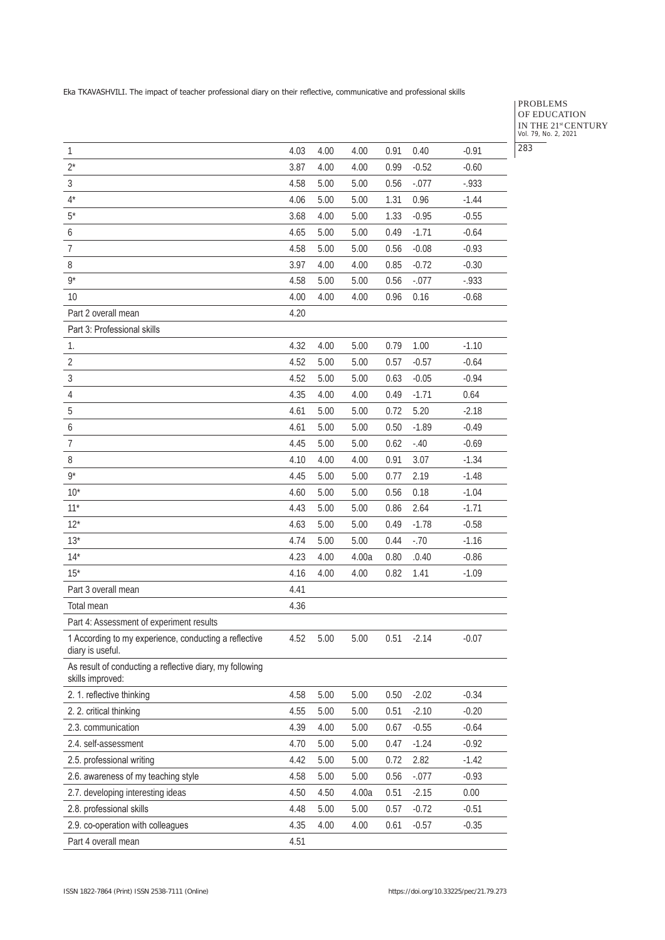## PROBLEMS OF EDUCATION IN THE 21<sup>st</sup> CENTURY<br>Vol. 79, No. 2, 2021 283

| $\mathbf{1}$                                                                 | 4.03 | 4.00   | 4.00  | 0.91 | 0.40    | $-0.91$  |
|------------------------------------------------------------------------------|------|--------|-------|------|---------|----------|
| $2^*$                                                                        | 3.87 | 4.00   | 4.00  | 0.99 | $-0.52$ | $-0.60$  |
| $\sqrt{3}$                                                                   | 4.58 | 5.00   | 5.00  | 0.56 | $-.077$ | $-0.933$ |
| $4^*$                                                                        | 4.06 | 5.00   | 5.00  | 1.31 | 0.96    | $-1.44$  |
| $5^*$                                                                        | 3.68 | 4.00   | 5.00  | 1.33 | $-0.95$ | $-0.55$  |
| 6                                                                            | 4.65 | 5.00   | 5.00  | 0.49 | $-1.71$ | $-0.64$  |
| $\overline{7}$                                                               | 4.58 | 5.00   | 5.00  | 0.56 | $-0.08$ | $-0.93$  |
| 8                                                                            | 3.97 | 4.00   | 4.00  | 0.85 | $-0.72$ | $-0.30$  |
| $9*$                                                                         | 4.58 | 5.00   | 5.00  | 0.56 | $-.077$ | $-0.933$ |
| 10                                                                           | 4.00 | 4.00   | 4.00  | 0.96 | 0.16    | $-0.68$  |
| Part 2 overall mean                                                          | 4.20 |        |       |      |         |          |
| Part 3: Professional skills                                                  |      |        |       |      |         |          |
| 1.                                                                           | 4.32 | 4.00   | 5.00  | 0.79 | 1.00    | $-1.10$  |
| $\overline{2}$                                                               | 4.52 | 5.00   | 5.00  | 0.57 | $-0.57$ | $-0.64$  |
| $\sqrt{3}$                                                                   | 4.52 | 5.00   | 5.00  | 0.63 | $-0.05$ | $-0.94$  |
| $\sqrt{4}$                                                                   | 4.35 | 4.00   | 4.00  | 0.49 | $-1.71$ | 0.64     |
| 5                                                                            | 4.61 | 5.00   | 5.00  | 0.72 | 5.20    | $-2.18$  |
| 6                                                                            | 4.61 | 5.00   | 5.00  | 0.50 | $-1.89$ | $-0.49$  |
| $\overline{7}$                                                               | 4.45 | 5.00   | 5.00  | 0.62 | $-.40$  | $-0.69$  |
| 8                                                                            | 4.10 | 4.00   | 4.00  | 0.91 | 3.07    | $-1.34$  |
| $9*$                                                                         | 4.45 | 5.00   | 5.00  | 0.77 | 2.19    | $-1.48$  |
| $10^*$                                                                       | 4.60 | 5.00   | 5.00  | 0.56 | 0.18    | $-1.04$  |
| $11*$                                                                        | 4.43 | 5.00   | 5.00  | 0.86 | 2.64    | $-1.71$  |
| $12*$                                                                        | 4.63 | 5.00   | 5.00  | 0.49 | $-1.78$ | $-0.58$  |
| $13*$                                                                        | 4.74 | 5.00   | 5.00  | 0.44 | $-.70$  | $-1.16$  |
| $14*$                                                                        | 4.23 | 4.00   | 4.00a | 0.80 | .0.40   | $-0.86$  |
| $15*$                                                                        | 4.16 | 4.00   | 4.00  | 0.82 | 1.41    | $-1.09$  |
| Part 3 overall mean                                                          | 4.41 |        |       |      |         |          |
| Total mean                                                                   | 4.36 |        |       |      |         |          |
| Part 4: Assessment of experiment results                                     |      |        |       |      |         |          |
| 1 According to my experience, conducting a reflective<br>diary is useful.    | 4.52 | $5.00$ | 5.00  | 0.51 | $-2.14$ | $-0.07$  |
| As result of conducting a reflective diary, my following<br>skills improved: |      |        |       |      |         |          |
| 2. 1. reflective thinking                                                    | 4.58 | 5.00   | 5.00  | 0.50 | $-2.02$ | $-0.34$  |
| 2. 2. critical thinking                                                      | 4.55 | 5.00   | 5.00  | 0.51 | $-2.10$ | $-0.20$  |
| 2.3. communication                                                           | 4.39 | 4.00   | 5.00  | 0.67 | $-0.55$ | $-0.64$  |
| 2.4. self-assessment                                                         | 4.70 | 5.00   | 5.00  | 0.47 | $-1.24$ | $-0.92$  |
| 2.5. professional writing                                                    | 4.42 | 5.00   | 5.00  | 0.72 | 2.82    | $-1.42$  |
| 2.6. awareness of my teaching style                                          | 4.58 | 5.00   | 5.00  | 0.56 | $-.077$ | $-0.93$  |
| 2.7. developing interesting ideas                                            | 4.50 | 4.50   | 4.00a | 0.51 | $-2.15$ | 0.00     |
| 2.8. professional skills                                                     | 4.48 | 5.00   | 5.00  | 0.57 | $-0.72$ | $-0.51$  |
| 2.9. co-operation with colleagues                                            | 4.35 | 4.00   | 4.00  | 0.61 | $-0.57$ | $-0.35$  |
| Part 4 overall mean                                                          | 4.51 |        |       |      |         |          |
|                                                                              |      |        |       |      |         |          |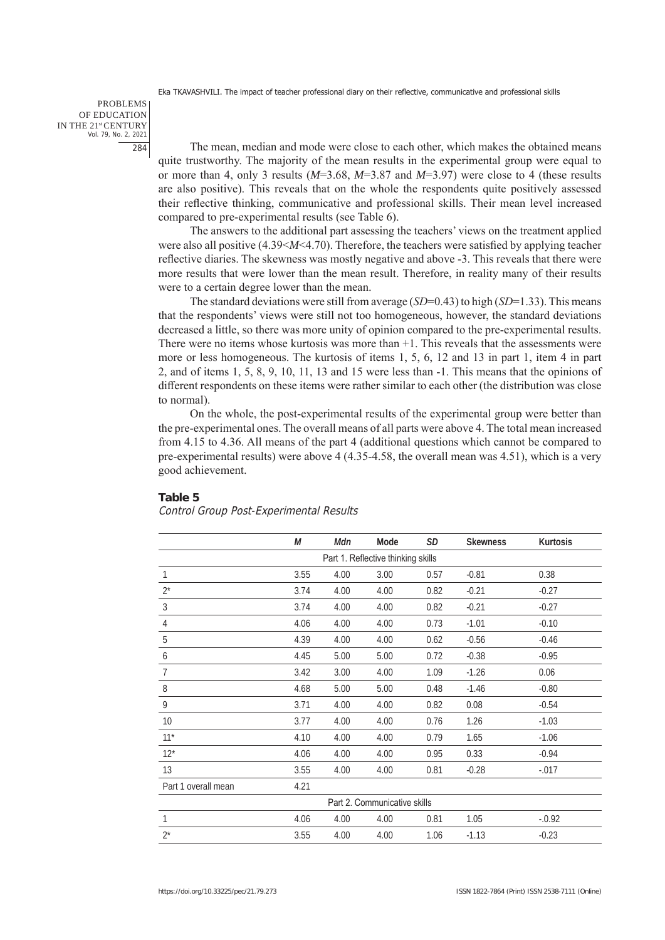PROBLEMS OF EDUCATION IN THE 21st CENTURY Vol. 79, No. 2, 2021 284

The mean, median and mode were close to each other, which makes the obtained means quite trustworthy. The majority of the mean results in the experimental group were equal to or more than 4, only 3 results (*M*=3.68, *M*=3.87 and *M*=3.97) were close to 4 (these results are also positive). This reveals that on the whole the respondents quite positively assessed their reflective thinking, communicative and professional skills. Their mean level increased compared to pre-experimental results (see Table 6).

The answers to the additional part assessing the teachers' views on the treatment applied were also all positive (4.39<*M*<4.70). Therefore, the teachers were satisfied by applying teacher reflective diaries. The skewness was mostly negative and above -3. This reveals that there were more results that were lower than the mean result. Therefore, in reality many of their results were to a certain degree lower than the mean.

The standard deviations were still from average (*SD*=0.43) to high (*SD*=1.33). This means that the respondents' views were still not too homogeneous, however, the standard deviations decreased a little, so there was more unity of opinion compared to the pre-experimental results. There were no items whose kurtosis was more than +1. This reveals that the assessments were more or less homogeneous. The kurtosis of items 1, 5, 6, 12 and 13 in part 1, item 4 in part 2, and of items 1, 5, 8, 9, 10, 11, 13 and 15 were less than -1. This means that the opinions of different respondents on these items were rather similar to each other (the distribution was close to normal).

On the whole, the post-experimental results of the experimental group were better than the pre-experimental ones. The overall means of all parts were above 4. The total mean increased from 4.15 to 4.36. All means of the part 4 (additional questions which cannot be compared to pre-experimental results) were above 4 (4.35-4.58, the overall mean was 4.51), which is a very good achievement.

#### **Table 5**

## Control Group Post-Experimental Results

|                     | M    | Mdn  | Mode                               | <b>SD</b> | <b>Skewness</b> | Kurtosis |
|---------------------|------|------|------------------------------------|-----------|-----------------|----------|
|                     |      |      | Part 1. Reflective thinking skills |           |                 |          |
| 1                   | 3.55 | 4.00 | 3.00                               | 0.57      | $-0.81$         | 0.38     |
| $2^*$               | 3.74 | 4.00 | 4.00                               | 0.82      | $-0.21$         | $-0.27$  |
| 3                   | 3.74 | 4.00 | 4.00                               | 0.82      | $-0.21$         | $-0.27$  |
| 4                   | 4.06 | 4.00 | 4.00                               | 0.73      | $-1.01$         | $-0.10$  |
| 5                   | 4.39 | 4.00 | 4.00                               | 0.62      | $-0.56$         | $-0.46$  |
| 6                   | 4.45 | 5.00 | 5.00                               | 0.72      | $-0.38$         | $-0.95$  |
| 7                   | 3.42 | 3.00 | 4.00                               | 1.09      | $-1.26$         | 0.06     |
| 8                   | 4.68 | 5.00 | 5.00                               | 0.48      | $-1.46$         | $-0.80$  |
| 9                   | 3.71 | 4.00 | 4.00                               | 0.82      | 0.08            | $-0.54$  |
| 10                  | 3.77 | 4.00 | 4.00                               | 0.76      | 1.26            | $-1.03$  |
| $11*$               | 4.10 | 4.00 | 4.00                               | 0.79      | 1.65            | $-1.06$  |
| $12*$               | 4.06 | 4.00 | 4.00                               | 0.95      | 0.33            | $-0.94$  |
| 13                  | 3.55 | 4.00 | 4.00                               | 0.81      | $-0.28$         | $-.017$  |
| Part 1 overall mean | 4.21 |      |                                    |           |                 |          |
|                     |      |      | Part 2. Communicative skills       |           |                 |          |
| 1                   | 4.06 | 4.00 | 4.00                               | 0.81      | 1.05            | $-0.92$  |
| $2^*$               | 3.55 | 4.00 | 4.00                               | 1.06      | $-1.13$         | $-0.23$  |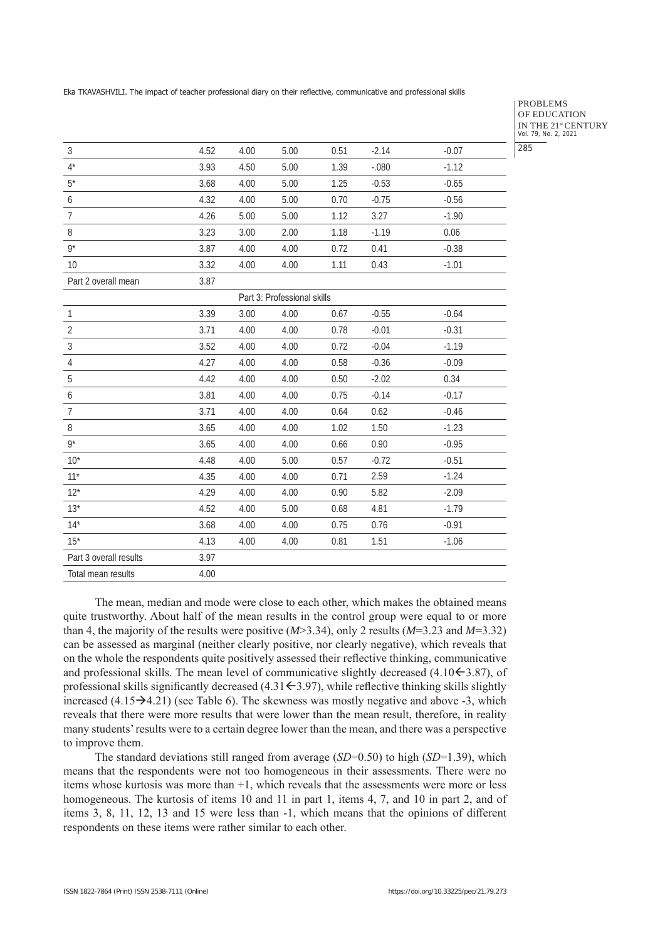PROBLEMS OF EDUCATION IN THE 21st CENTURY Vol. 79, No. 2, 2021 285

| $\mathfrak{Z}$         | 4.52 | 4.00 | 5.00                        | 0.51 | $-2.14$ | $-0.07$ |
|------------------------|------|------|-----------------------------|------|---------|---------|
| $4^*$                  | 3.93 | 4.50 | 5.00                        | 1.39 | $-.080$ | $-1.12$ |
| $5^*$                  | 3.68 | 4.00 | 5.00                        | 1.25 | $-0.53$ | $-0.65$ |
| 6                      | 4.32 | 4.00 | 5.00                        | 0.70 | $-0.75$ | $-0.56$ |
| $\overline{7}$         | 4.26 | 5.00 | 5.00                        | 1.12 | 3.27    | $-1.90$ |
| $\, 8$                 | 3.23 | 3.00 | 2.00                        | 1.18 | $-1.19$ | 0.06    |
| $9^*$                  | 3.87 | 4.00 | 4.00                        | 0.72 | 0.41    | $-0.38$ |
| 10                     | 3.32 | 4.00 | 4.00                        | 1.11 | 0.43    | $-1.01$ |
| Part 2 overall mean    | 3.87 |      |                             |      |         |         |
|                        |      |      | Part 3: Professional skills |      |         |         |
| $\mathbf{1}$           | 3.39 | 3.00 | 4.00                        | 0.67 | $-0.55$ | $-0.64$ |
| $\overline{2}$         | 3.71 | 4.00 | 4.00                        | 0.78 | $-0.01$ | $-0.31$ |
| $\mathfrak{Z}$         | 3.52 | 4.00 | 4.00                        | 0.72 | $-0.04$ | $-1.19$ |
| $\overline{4}$         | 4.27 | 4.00 | 4.00                        | 0.58 | $-0.36$ | $-0.09$ |
| $\mathbf 5$            | 4.42 | 4.00 | 4.00                        | 0.50 | $-2.02$ | 0.34    |
| 6                      | 3.81 | 4.00 | 4.00                        | 0.75 | $-0.14$ | $-0.17$ |
| $\overline{7}$         | 3.71 | 4.00 | 4.00                        | 0.64 | 0.62    | $-0.46$ |
| $\, 8$                 | 3.65 | 4.00 | 4.00                        | 1.02 | 1.50    | $-1.23$ |
| $9^*$                  | 3.65 | 4.00 | 4.00                        | 0.66 | 0.90    | $-0.95$ |
| $10*$                  | 4.48 | 4.00 | 5.00                        | 0.57 | $-0.72$ | $-0.51$ |
| $11*$                  | 4.35 | 4.00 | 4.00                        | 0.71 | 2.59    | $-1.24$ |
| $12*$                  | 4.29 | 4.00 | 4.00                        | 0.90 | 5.82    | $-2.09$ |
| $13*$                  | 4.52 | 4.00 | 5.00                        | 0.68 | 4.81    | $-1.79$ |
| $14*$                  | 3.68 | 4.00 | 4.00                        | 0.75 | 0.76    | $-0.91$ |
| $15*$                  | 4.13 | 4.00 | 4.00                        | 0.81 | 1.51    | $-1.06$ |
| Part 3 overall results | 3.97 |      |                             |      |         |         |
| Total mean results     | 4.00 |      |                             |      |         |         |

The mean, median and mode were close to each other, which makes the obtained means quite trustworthy. About half of the mean results in the control group were equal to or more than 4, the majority of the results were positive (*M*>3.34), only 2 results (*M*=3.23 and *M*=3.32) can be assessed as marginal (neither clearly positive, nor clearly negative), which reveals that on the whole the respondents quite positively assessed their reflective thinking, communicative and professional skills. The mean level of communicative slightly decreased  $(4.10\text{--}3.87)$ , of professional skills significantly decreased  $(4.31\div 3.97)$ , while reflective thinking skills slightly increased  $(4.15\rightarrow 4.21)$  (see Table 6). The skewness was mostly negative and above -3, which reveals that there were more results that were lower than the mean result, therefore, in reality many students' results were to a certain degree lower than the mean, and there was a perspective to improve them.

The standard deviations still ranged from average (*SD*=0.50) to high (*SD*=1.39), which means that the respondents were not too homogeneous in their assessments. There were no items whose kurtosis was more than +1, which reveals that the assessments were more or less homogeneous. The kurtosis of items 10 and 11 in part 1, items 4, 7, and 10 in part 2, and of items 3, 8, 11, 12, 13 and 15 were less than -1, which means that the opinions of different respondents on these items were rather similar to each other.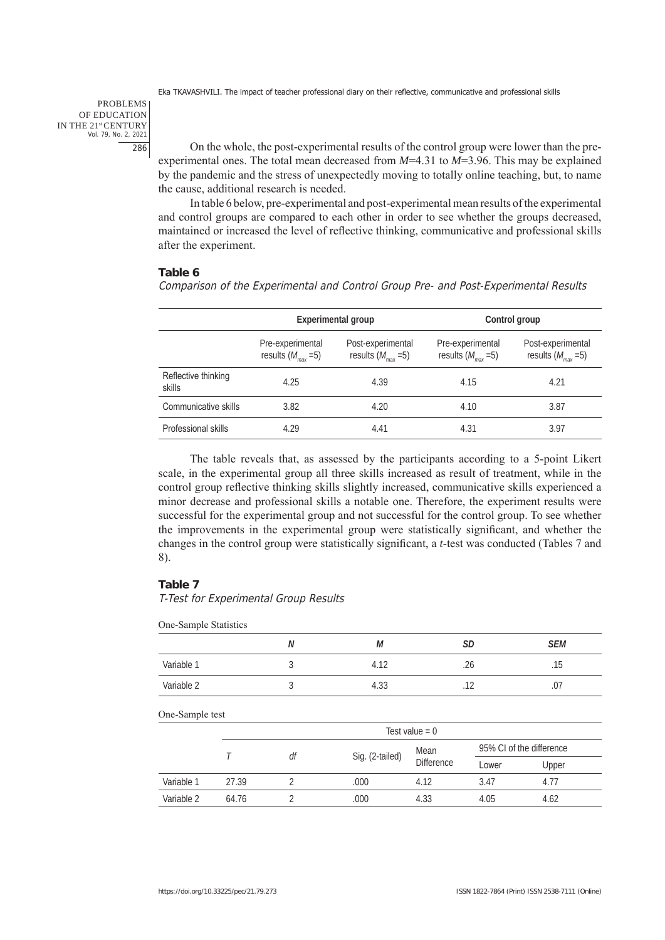PROBLEMS OF EDUCATION IN THE 21st CENTURY Vol. 79, No. 2, 2021 286

On the whole, the post-experimental results of the control group were lower than the preexperimental ones. The total mean decreased from *M*=4.31 to *M*=3.96. This may be explained by the pandemic and the stress of unexpectedly moving to totally online teaching, but, to name the cause, additional research is needed.

In table 6 below, pre-experimental and post-experimental mean results of the experimental and control groups are compared to each other in order to see whether the groups decreased, maintained or increased the level of reflective thinking, communicative and professional skills after the experiment.

## **Table 6**

Comparison of the Experimental and Control Group Pre- and Post-Experimental Results

|                               |                                             | Experimental group                                  | Control group                                    |                                                   |  |  |
|-------------------------------|---------------------------------------------|-----------------------------------------------------|--------------------------------------------------|---------------------------------------------------|--|--|
|                               | Pre-experimental<br>results $(M_{max} = 5)$ | Post-experimental<br>results $(M_{\text{max}} = 5)$ | Pre-experimental<br>results $(M_{\text{max}}=5)$ | Post-experimental<br>results $(M_{\text{max}}=5)$ |  |  |
| Reflective thinking<br>skills | 4.25                                        | 4.39                                                | 4.15                                             | 4.21                                              |  |  |
| Communicative skills          | 3.82                                        | 4.20                                                | 4.10                                             | 3.87                                              |  |  |
| Professional skills           | 4.29                                        | 4.41                                                | 4.31                                             | 3.97                                              |  |  |

The table reveals that, as assessed by the participants according to a 5-point Likert scale, in the experimental group all three skills increased as result of treatment, while in the control group reflective thinking skills slightly increased, communicative skills experienced a minor decrease and professional skills a notable one. Therefore, the experiment results were successful for the experimental group and not successful for the control group. To see whether the improvements in the experimental group were statistically significant, and whether the changes in the control group were statistically significant, a *t*-test was conducted (Tables 7 and 8).

## **Table 7**

T-Test for Experimental Group Results

One-Sample Statistics

|            | N                    | М           | <b>SD</b>     | SEM                          |
|------------|----------------------|-------------|---------------|------------------------------|
| Variable 1 |                      | 4.12        | $\sim$<br>.Z6 | $\sim$ $\sim$<br>ıь<br>. ا ب |
| Variable 2 | $\ddot{\phantom{a}}$ | ົດຕ<br>4.33 | $\sim$<br>.   | .U /                         |

|            |       |                 |                   | Test value = $0$ |                          |      |
|------------|-------|-----------------|-------------------|------------------|--------------------------|------|
|            | df    |                 | Mean              |                  | 95% CI of the difference |      |
|            |       | Sig. (2-tailed) | <b>Difference</b> | Lower            | Upper                    |      |
| Variable 1 | 27.39 |                 | .000              | 4.12             | 3.47                     | 4.77 |
| Variable 2 | 64.76 |                 | .000              | 4.33             | 4.05                     | 4.62 |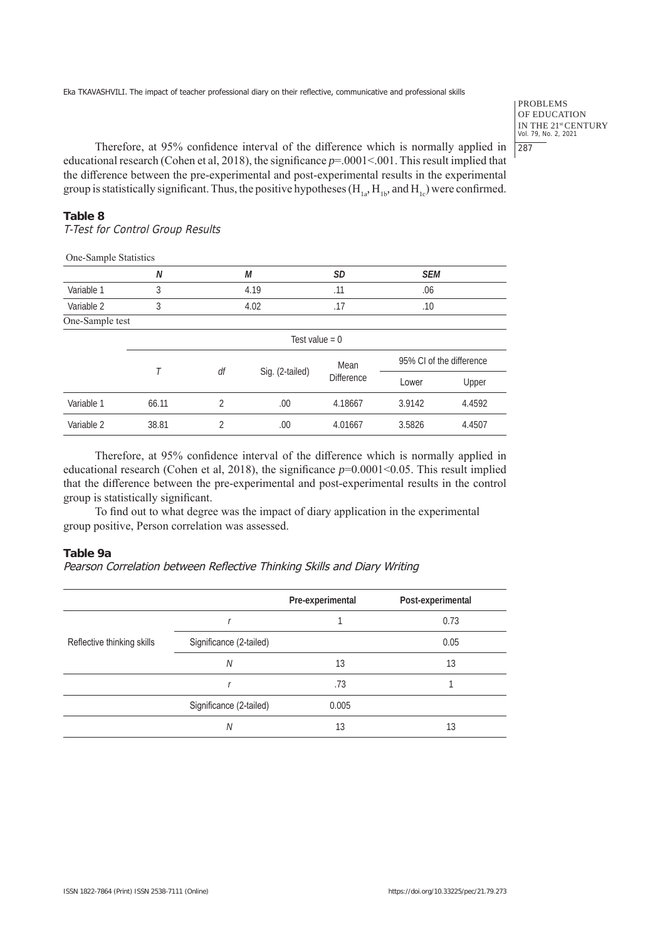PROBLEMS OF EDUCATION IN THE 21<sup>st</sup> CENTURY<br>Vol. 79, No. 2, 2021 287

Therefore, at 95% confidence interval of the difference which is normally applied in educational research (Cohen et al, 2018), the significance *p*=.0001<.001. This result implied that the difference between the pre-experimental and post-experimental results in the experimental group is statistically significant. Thus, the positive hypotheses  $(H_{1a}, H_{1b}, and H_{1c})$  were confirmed.

## **Table 8**

T-Test for Control Group Results

One-Sample Statistics

|                 | Ν                |                | М               | <b>SD</b>         | <b>SEM</b>               |        |
|-----------------|------------------|----------------|-----------------|-------------------|--------------------------|--------|
| Variable 1      | 3                |                | 4.19            | .11               | .06                      |        |
| Variable 2      | 3                | 4.02           |                 | .17               | .10                      |        |
| One-Sample test |                  |                |                 |                   |                          |        |
|                 | Test value = $0$ |                |                 |                   |                          |        |
|                 |                  | df             |                 | Mean              | 95% CL of the difference |        |
|                 |                  |                | Sig. (2-tailed) | <b>Difference</b> | Lower                    | Upper  |
| Variable 1      | 66.11            | $\overline{2}$ | .00.            | 4.18667           | 3.9142                   | 4.4592 |
| Variable 2      | 38.81            | $\overline{2}$ | .00.            | 4.01667           | 3.5826                   | 4.4507 |

Therefore, at 95% confidence interval of the difference which is normally applied in educational research (Cohen et al, 2018), the significance *p*=0.0001<0.05. This result implied that the difference between the pre-experimental and post-experimental results in the control group is statistically significant.

To find out to what degree was the impact of diary application in the experimental group positive, Person correlation was assessed.

## **Table 9a**

## Pearson Correlation between Reflective Thinking Skills and Diary Writing

|                            |                         | Pre-experimental | Post-experimental |
|----------------------------|-------------------------|------------------|-------------------|
|                            |                         |                  | 0.73              |
| Reflective thinking skills | Significance (2-tailed) |                  | 0.05              |
|                            | Ν                       | 13               | 13                |
|                            |                         | .73              |                   |
|                            | Significance (2-tailed) | 0.005            |                   |
|                            | Ν                       | 13               | 13                |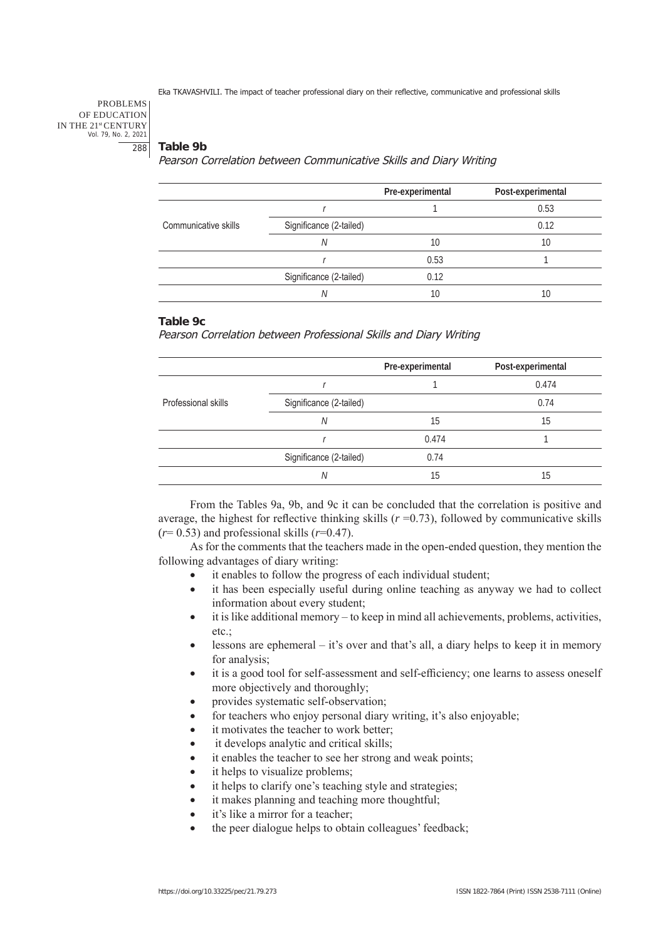#### PROBLEMS OF EDUCATION IN THE 21st CENTURY Vol. 79, No. 2, 2021 288

## **Table 9b**

Pearson Correlation between Communicative Skills and Diary Writing

|                      |                         | Pre-experimental | Post-experimental |
|----------------------|-------------------------|------------------|-------------------|
|                      |                         |                  | 0.53              |
| Communicative skills | Significance (2-tailed) |                  | 0.12              |
|                      | Ν                       | 10               | 10                |
|                      |                         | 0.53             |                   |
|                      | Significance (2-tailed) | 0.12             |                   |
|                      | Ν                       | 10               | 10                |

## **Table 9c**

Pearson Correlation between Professional Skills and Diary Writing

|                     |                         | Pre-experimental | Post-experimental |
|---------------------|-------------------------|------------------|-------------------|
|                     |                         |                  | 0.474             |
| Professional skills | Significance (2-tailed) |                  | 0.74              |
|                     | N                       | 15               | 15                |
|                     |                         | 0.474            |                   |
|                     | Significance (2-tailed) | 0.74             |                   |
|                     | N                       | 15               | 15                |

From the Tables 9a, 9b, and 9c it can be concluded that the correlation is positive and average, the highest for reflective thinking skills  $(r=0.73)$ , followed by communicative skills  $(r= 0.53)$  and professional skills  $(r=0.47)$ .

As for the comments that the teachers made in the open-ended question, they mention the following advantages of diary writing:

- it enables to follow the progress of each individual student;
- it has been especially useful during online teaching as anyway we had to collect information about every student;
- $\bullet$  it is like additional memory to keep in mind all achievements, problems, activities, etc.;
- $\bullet$  lessons are ephemeral it's over and that's all, a diary helps to keep it in memory for analysis;
- it is a good tool for self-assessment and self-efficiency; one learns to assess oneself more objectively and thoroughly;
- provides systematic self-observation;
- for teachers who enjoy personal diary writing, it's also enjoyable;
- it motivates the teacher to work better:
- it develops analytic and critical skills;
- it enables the teacher to see her strong and weak points;
- it helps to visualize problems;
- it helps to clarify one's teaching style and strategies;
- it makes planning and teaching more thoughtful;
- it's like a mirror for a teacher;
- the peer dialogue helps to obtain colleagues' feedback;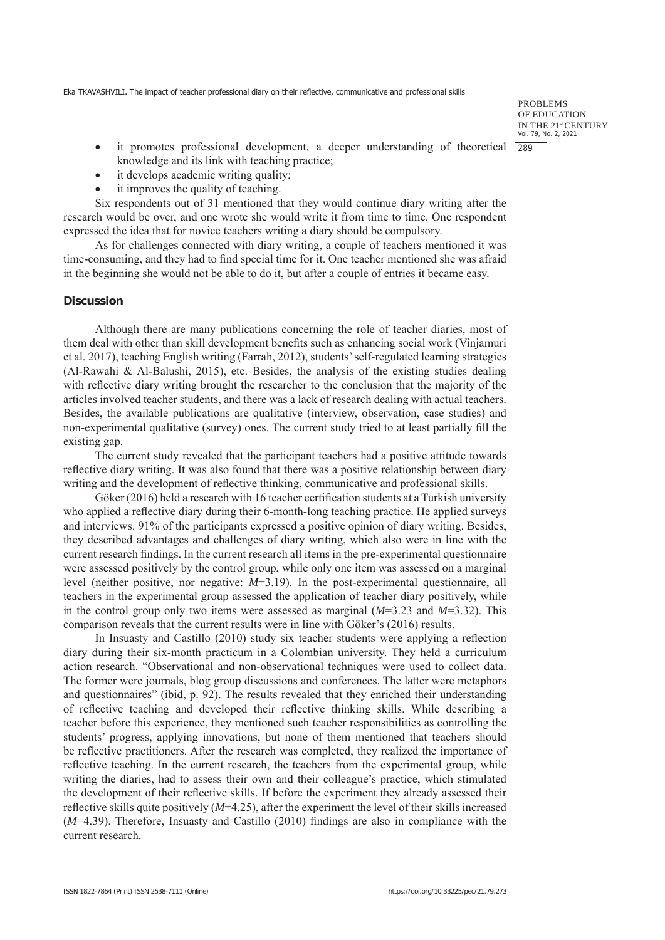PROBLEMS OF EDUCATION IN THE 21st CENTURY Vol. 79, No. 2, 2021 289

- • it promotes professional development, a deeper understanding of theoretical knowledge and its link with teaching practice;
- it develops academic writing quality;
- it improves the quality of teaching.

Six respondents out of 31 mentioned that they would continue diary writing after the research would be over, and one wrote she would write it from time to time. One respondent expressed the idea that for novice teachers writing a diary should be compulsory.

As for challenges connected with diary writing, a couple of teachers mentioned it was time-consuming, and they had to find special time for it. One teacher mentioned she was afraid in the beginning she would not be able to do it, but after a couple of entries it became easy.

## **Discussion**

Although there are many publications concerning the role of teacher diaries, most of them deal with other than skill development benefits such as enhancing social work (Vinjamuri et al. 2017), teaching English writing (Farrah, 2012), students' self-regulated learning strategies (Al-Rawahi & Al-Balushi, 2015), etc. Besides, the analysis of the existing studies dealing with reflective diary writing brought the researcher to the conclusion that the majority of the articles involved teacher students, and there was a lack of research dealing with actual teachers. Besides, the available publications are qualitative (interview, observation, case studies) and non-experimental qualitative (survey) ones. The current study tried to at least partially fill the existing gap.

The current study revealed that the participant teachers had a positive attitude towards reflective diary writing. It was also found that there was a positive relationship between diary writing and the development of reflective thinking, communicative and professional skills.

Göker (2016) held a research with 16 teacher certification students at a Turkish university who applied a reflective diary during their 6-month-long teaching practice. He applied surveys and interviews. 91% of the participants expressed a positive opinion of diary writing. Besides, they described advantages and challenges of diary writing, which also were in line with the current research findings. In the current research all items in the pre-experimental questionnaire were assessed positively by the control group, while only one item was assessed on a marginal level (neither positive, nor negative: *M*=3.19). In the post-experimental questionnaire, all teachers in the experimental group assessed the application of teacher diary positively, while in the control group only two items were assessed as marginal (*M*=3.23 and *M*=3.32). This comparison reveals that the current results were in line with Göker's (2016) results.

In Insuasty and Castillo (2010) study six teacher students were applying a reflection diary during their six-month practicum in a Colombian university. They held a curriculum action research. "Observational and non-observational techniques were used to collect data. The former were journals, blog group discussions and conferences. The latter were metaphors and questionnaires" (ibid, p. 92). The results revealed that they enriched their understanding of reflective teaching and developed their reflective thinking skills. While describing a teacher before this experience, they mentioned such teacher responsibilities as controlling the students' progress, applying innovations, but none of them mentioned that teachers should be reflective practitioners. After the research was completed, they realized the importance of reflective teaching. In the current research, the teachers from the experimental group, while writing the diaries, had to assess their own and their colleague's practice, which stimulated the development of their reflective skills. If before the experiment they already assessed their reflective skills quite positively (*M*=4.25), after the experiment the level of their skills increased (*M*=4.39). Therefore, Insuasty and Castillo (2010) findings are also in compliance with the current research.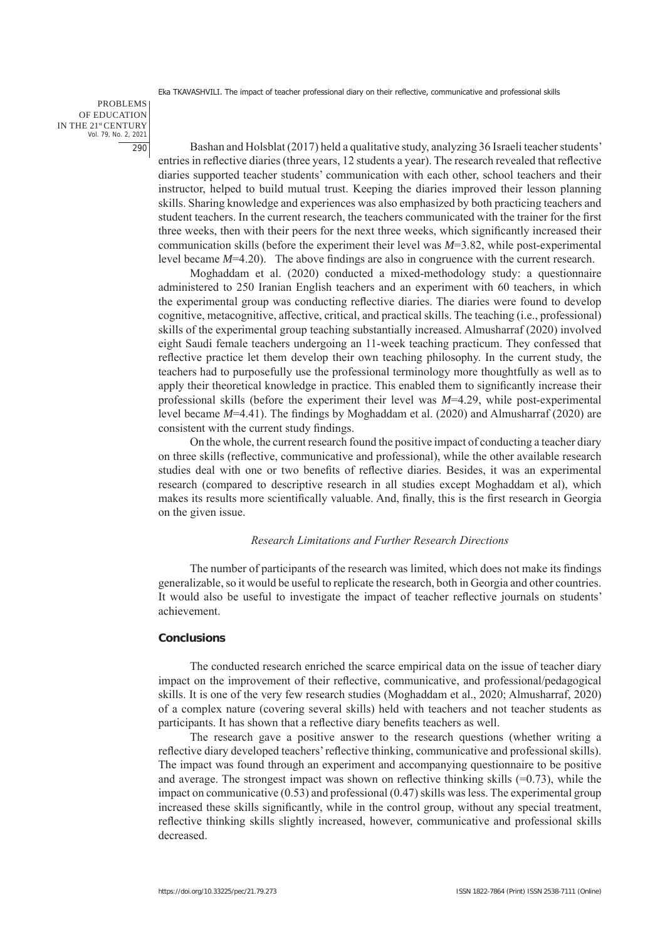PROBLEMS OF EDUCATION IN THE 21st CENTURY Vol. 79, No. 2, 2021 290

Bashan and Holsblat (2017) held a qualitative study, analyzing 36 Israeli teacher students' entries in reflective diaries (three years, 12 students a year). The research revealed that reflective diaries supported teacher students' communication with each other, school teachers and their instructor, helped to build mutual trust. Keeping the diaries improved their lesson planning skills. Sharing knowledge and experiences was also emphasized by both practicing teachers and student teachers. In the current research, the teachers communicated with the trainer for the first three weeks, then with their peers for the next three weeks, which significantly increased their communication skills (before the experiment their level was *M*=3.82, while post-experimental level became *M*=4.20). The above findings are also in congruence with the current research.

Moghaddam et al. (2020) conducted a mixed-methodology study: a questionnaire administered to 250 Iranian English teachers and an experiment with 60 teachers, in which the experimental group was conducting reflective diaries. The diaries were found to develop cognitive, metacognitive, affective, critical, and practical skills. The teaching (i.e., professional) skills of the experimental group teaching substantially increased. Almusharraf (2020) involved eight Saudi female teachers undergoing an 11-week teaching practicum. They confessed that reflective practice let them develop their own teaching philosophy. In the current study, the teachers had to purposefully use the professional terminology more thoughtfully as well as to apply their theoretical knowledge in practice. This enabled them to significantly increase their professional skills (before the experiment their level was *M*=4.29, while post-experimental level became *M*=4.41). The findings by Moghaddam et al. (2020) and Almusharraf (2020) are consistent with the current study findings.

On the whole, the current research found the positive impact of conducting a teacher diary on three skills (reflective, communicative and professional), while the other available research studies deal with one or two benefits of reflective diaries. Besides, it was an experimental research (compared to descriptive research in all studies except Moghaddam et al), which makes its results more scientifically valuable. And, finally, this is the first research in Georgia on the given issue.

## *Research Limitations and Further Research Directions*

The number of participants of the research was limited, which does not make its findings generalizable, so it would be useful to replicate the research, both in Georgia and other countries. It would also be useful to investigate the impact of teacher reflective journals on students' achievement.

#### **Conclusions**

The conducted research enriched the scarce empirical data on the issue of teacher diary impact on the improvement of their reflective, communicative, and professional/pedagogical skills. It is one of the very few research studies (Moghaddam et al., 2020; Almusharraf, 2020) of a complex nature (covering several skills) held with teachers and not teacher students as participants. It has shown that a reflective diary benefits teachers as well.

The research gave a positive answer to the research questions (whether writing a reflective diary developed teachers' reflective thinking, communicative and professional skills). The impact was found through an experiment and accompanying questionnaire to be positive and average. The strongest impact was shown on reflective thinking skills  $(=0.73)$ , while the impact on communicative (0.53) and professional (0.47) skills was less. The experimental group increased these skills significantly, while in the control group, without any special treatment, reflective thinking skills slightly increased, however, communicative and professional skills decreased.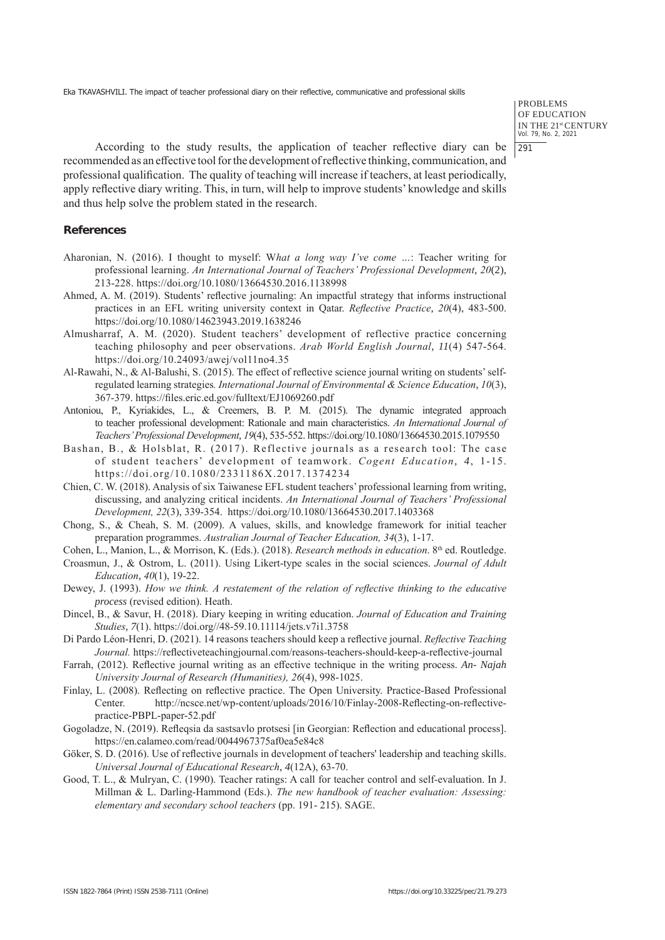PROBLEMS OF EDUCATION IN THE 21st CENTURY Vol. 79, No. 2, 2021 291

According to the study results, the application of teacher reflective diary can be recommended as an effective tool for the development of reflective thinking, communication, and professional qualification. The quality of teaching will increase if teachers, at least periodically, apply reflective diary writing. This, in turn, will help to improve students' knowledge and skills and thus help solve the problem stated in the research.

## **References**

- Aharonian, N. (2016). I thought to myself: W*hat a long way I've come …*: Teacher writing for professional learning. *An International Journal of Teachers' Professional Development*, *20*(2), 213-228. https://doi.org/10.1080/13664530.2016.1138998
- Ahmed, A. M. (2019). Students' reflective journaling: An impactful strategy that informs instructional practices in an EFL writing university context in Qatar. *Reflective Practice*, *20*(4), 483-500. https://doi.org/10.1080/14623943.2019.1638246
- Almusharraf, A. M. (2020). Student teachers' development of reflective practice concerning teaching philosophy and peer observations. *Arab World English Journal*, *11*(4) 547-564. https://doi.org/10.24093/awej/vol11no4.35
- Al-Rawahi, N., & Al-Balushi, S. (2015). The effect of reflective science journal writing on students' selfregulated learning strategies*. International Journal of Environmental & Science Education*, *10*(3), 367-379. https://files.eric.ed.gov/fulltext/EJ1069260.pdf
- Antoniou, P., Kyriakides, L., & Creemers, B. P. M. (2015). The dynamic integrated approach to teacher professional development: Rationale and main characteristics. *An International Journal of Teachers' Professional Development*, *19*(4), 535-552. https://doi.org/10.1080/13664530.2015.1079550
- Bashan, B., & Holsblat, R. (2017). Reflective journals as a research tool: The case of student teachers' development of teamwork. *Cogent Education*, *4*, 1-15. https://doi.org/10.1080/2331186X.2017.1374234
- Chien, C. W. (2018). Analysis of six Taiwanese EFL student teachers' professional learning from writing, discussing, and analyzing critical incidents. *An International Journal of Teachers' Professional Development, 22*(3), 339-354. https://doi.org/10.1080/13664530.2017.1403368
- Chong, S., & Cheah, S. M. (2009). A values, skills, and knowledge framework for initial teacher preparation programmes. *Australian Journal of Teacher Education, 34*(3), 1-17.
- Cohen, L., Manion, L., & Morrison, K. (Eds.). (2018). *Research methods in education*. 8<sup>th</sup> ed. Routledge.
- Croasmun, J., & Ostrom, L. (2011). Using Likert-type scales in the social sciences. *Journal of Adult Education*, *40*(1), 19-22.
- Dewey, J. (1993). *How we think. A restatement of the relation of reflective thinking to the educative process* (revised edition). Heath.
- Dincel, B., & Savur, H. (2018). Diary keeping in writing education. *Journal of Education and Training Studies*, *7*(1). https://doi.org//48-59.10.11114/jets.v7i1.3758
- Di Pardo Léon-Henri, D. (2021). 14 reasons teachers should keep a reflective journal. *Reflective Teaching Journal.* https://reflectiveteachingjournal.com/reasons-teachers-should-keep-a-reflective-journal
- Farrah, (2012). Reflective journal writing as an effective technique in the writing process. *An- Najah University Journal of Research (Humanities), 26*(4), 998-1025.
- Finlay, L. (2008). Reflecting on reflective practice. The Open University. Practice-Based Professional Center. http://ncsce.net/wp-content/uploads/2016/10/Finlay-2008-Reflecting-on-reflectivepractice-PBPL-paper-52.pdf
- Gogoladze, N. (2019). Refleqsia da sastsavlo protsesi [in Georgian: Reflection and educational process]. https://en.calameo.com/read/0044967375af0ea5e84c8
- Göker, S. D. (2016). Use of reflective journals in development of teachers' leadership and teaching skills. *Universal Journal of Educational Research*, *4*(12A), 63-70.
- Good, T. L., & Mulryan, C. (1990). Teacher ratings: A call for teacher control and self-evaluation. In J. Millman & L. Darling-Hammond (Eds.). *The new handbook of teacher evaluation: Assessing: elementary and secondary school teachers* (pp. 191- 215). SAGE.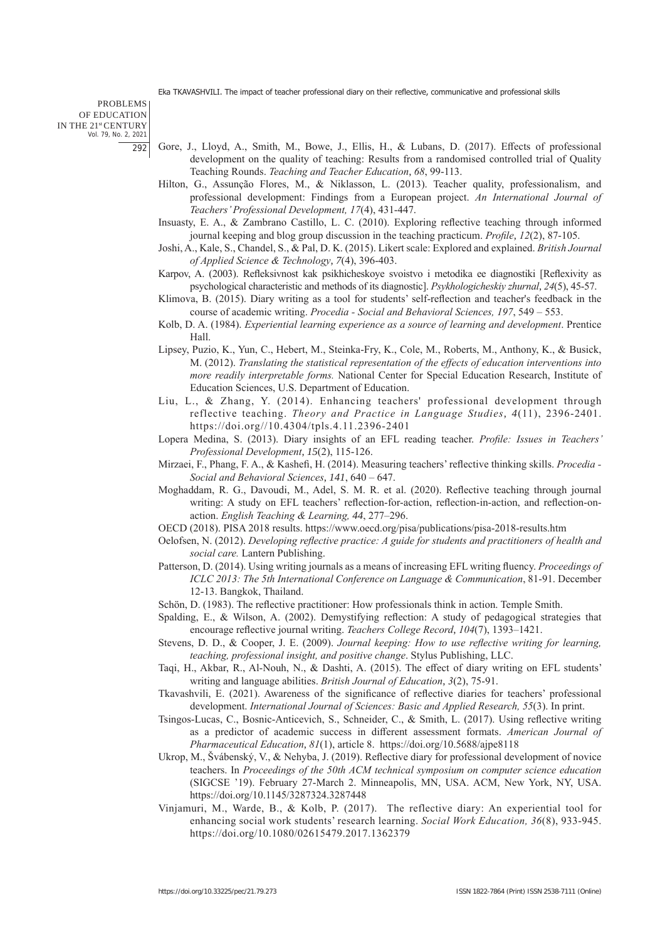PROBLEMS OF EDUCATION IN THE 21st CENTURY Vol. 79, No. 2, 2021 292

- Gore, J., Lloyd, A., Smith, M., Bowe, J., Ellis, H., & Lubans, D. (2017). Effects of professional development on the quality of teaching: Results from a randomised controlled trial of Quality Teaching Rounds. *Teaching and Teacher Education*, *68*, 99-113.
- Hilton, G., Assunção Flores, M., & Niklasson, L. (2013). Teacher quality, professionalism, and professional development: Findings from a European project. *An International Journal of Teachers' Professional Development, 17*(4), 431-447.
- Insuasty, E. A., & Zambrano Castillo, L. C. (2010). Exploring reflective teaching through informed journal keeping and blog group discussion in the teaching practicum. *Profile*, *12*(2), 87-105.
- Joshi, A., Kale, S., Chandel, S., & Pal, D. K. (2015). Likert scale: Explored and explained. *British Journal of Applied Science & Technology*, *7*(4), 396-403.
- Karpov, A. (2003). Refleksivnost kak psikhicheskoye svoistvo i metodika ee diagnostiki [Reflexivity as psychological characteristic and methods of its diagnostic]. *Psykhologicheskiy zhurnal*, *24*(5), 45-57.
- Klimova, B. (2015). Diary writing as a tool for students' self-reflection and teacher's feedback in the course of academic writing. *Procedia - Social and Behavioral Sciences, 197*, 549 – 553.
- Kolb, D. A. (1984). *Experiential learning experience as a source of learning and development*. Prentice Hall.
- Lipsey, Puzio, K., Yun, C., Hebert, M., Steinka-Fry, K., Cole, M., Roberts, M., Anthony, K., & Busick, M. (2012). *Translating the statistical representation of the effects of education interventions into more readily interpretable forms.* National Center for Special Education Research, Institute of Education Sciences, U.S. Department of Education.
- Liu, L., & Zhang, Y. (2014). Enhancing teachers' professional development through reflective teaching. *Theory and Practice in Language Studies*, *4*(11), 2396-2401. https://doi.org//10.4304/tpls.4.11.2396-2401
- Lopera Medina, S. (2013). Diary insights of an EFL reading teacher. *Profile: Issues in Teachers' Professional Development*, *15*(2), 115-126.
- Mirzaei, F., Phang, F. A., & Kashefi, H. (2014). Measuring teachers' reflective thinking skills. *Procedia Social and Behavioral Sciences*, *141*, 640 – 647.
- Moghaddam, R. G., Davoudi, M., Adel, S. M. R. et al. (2020). Reflective teaching through journal writing: A study on EFL teachers' reflection-for-action, reflection-in-action, and reflection-onaction. *English Teaching & Learning, 44*, 277–296.
- OECD (2018). PISA 2018 results. https://www.oecd.org/pisa/publications/pisa-2018-results.htm
- Oelofsen, N. (2012). *Developing reflective practice: A guide for students and practitioners of health and social care.* Lantern Publishing.
- Patterson, D. (2014). Using writing journals as a means of increasing EFL writing fluency. *Proceedings of ICLC 2013: The 5th International Conference on Language & Communication*, 81-91. December 12-13. Bangkok, Thailand.
- Schön, D. (1983). The reflective practitioner: How professionals think in action. Temple Smith.
- Spalding, E., & Wilson, A. (2002). Demystifying reflection: A study of pedagogical strategies that encourage reflective journal writing. *Teachers College Record*, *104*(7), 1393–1421.
- Stevens, D. D., & Cooper, J. E. (2009). *Journal keeping: How to use reflective writing for learning, teaching, professional insight, and positive change*. Stylus Publishing, LLC.
- Taqi, H., Akbar, R., Al-Nouh, N., & Dashti, A. (2015). The effect of diary writing on EFL students' writing and language abilities. *British Journal of Education*, *3*(2), 75-91.
- Tkavashvili, E. (2021). Awareness of the significance of reflective diaries for teachers' professional development. *International Journal of Sciences: Basic and Applied Research, 55*(3). In print.
- Tsingos-Lucas, C., Bosnic-Anticevich, S., Schneider, C., & Smith, L. (2017). Using reflective writing as a predictor of academic success in different assessment formats. *American Journal of Pharmaceutical Education*, *81*(1), article 8. https://doi.org/10.5688/ajpe8118
- Ukrop, M., Švábenský, V., & Nehyba, J. (2019). Reflective diary for professional development of novice teachers. In *Proceedings of the 50th ACM technical symposium on computer science education* (SIGCSE '19). February 27-March 2. Minneapolis, MN, USA. ACM, New York, NY, USA. https://doi.org/10.1145/3287324.3287448
- Vinjamuri, M., Warde, B., & Kolb, P. (2017). The reflective diary: An experiential tool for enhancing social work students' research learning. *Social Work Education, 36*(8), 933-945. https://doi.org/10.1080/02615479.2017.1362379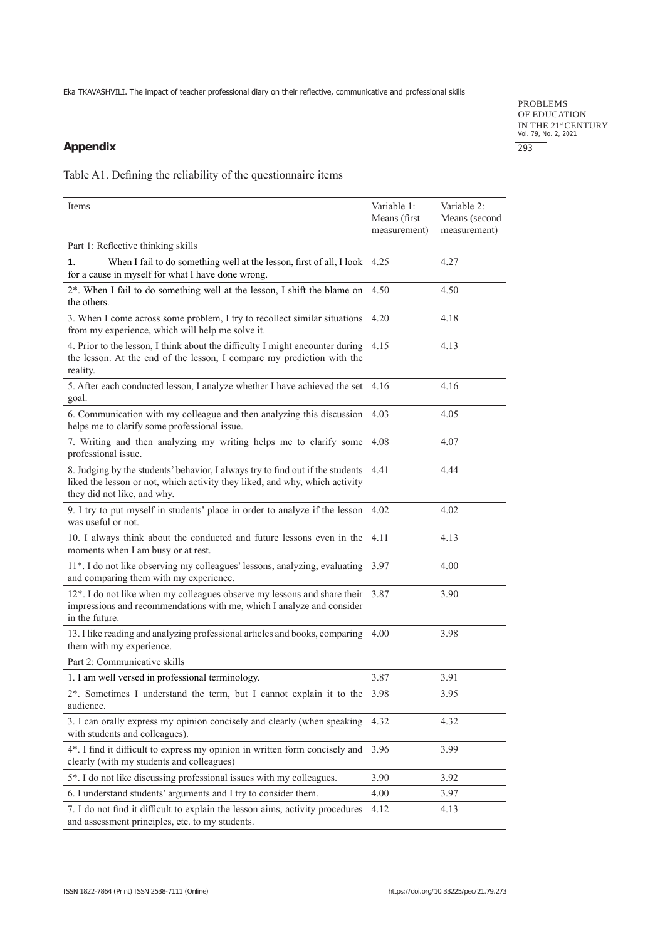# **Appendix**

PROBLEMS OF EDUCATION IN THE 21<sup>st</sup> CENTURY<br>Vol. 79, No. 2, 2021 293

Table A1. Defining the reliability of the questionnaire items

| Items                                                                                                                                                                                             | Variable 1:  | Variable 2:   |
|---------------------------------------------------------------------------------------------------------------------------------------------------------------------------------------------------|--------------|---------------|
|                                                                                                                                                                                                   | Means (first | Means (second |
|                                                                                                                                                                                                   | measurement) | measurement)  |
| Part 1: Reflective thinking skills                                                                                                                                                                |              |               |
| When I fail to do something well at the lesson, first of all, I look 4.25<br>1.<br>for a cause in myself for what I have done wrong.                                                              |              | 4.27          |
| 2*. When I fail to do something well at the lesson, I shift the blame on<br>the others.                                                                                                           | 4.50         | 4.50          |
| 3. When I come across some problem, I try to recollect similar situations<br>from my experience, which will help me solve it.                                                                     | 4.20         | 4.18          |
| 4. Prior to the lesson, I think about the difficulty I might encounter during<br>the lesson. At the end of the lesson, I compare my prediction with the<br>reality.                               | 4.15         | 4.13          |
| 5. After each conducted lesson, I analyze whether I have achieved the set 4.16<br>goal.                                                                                                           |              | 4.16          |
| 6. Communication with my colleague and then analyzing this discussion<br>helps me to clarify some professional issue.                                                                             | 4.03         | 4.05          |
| 7. Writing and then analyzing my writing helps me to clarify some 4.08<br>professional issue.                                                                                                     |              | 4.07          |
| 8. Judging by the students' behavior, I always try to find out if the students 4.41<br>liked the lesson or not, which activity they liked, and why, which activity<br>they did not like, and why. |              | 4.44          |
| 9. I try to put myself in students' place in order to analyze if the lesson 4.02<br>was useful or not.                                                                                            |              | 4.02          |
| 10. I always think about the conducted and future lessons even in the<br>moments when I am busy or at rest.                                                                                       | 4.11         | 4.13          |
| 11*. I do not like observing my colleagues' lessons, analyzing, evaluating<br>and comparing them with my experience.                                                                              | 3.97         | 4.00          |
| 12*. I do not like when my colleagues observe my lessons and share their<br>impressions and recommendations with me, which I analyze and consider<br>in the future.                               | 3.87         | 3.90          |
| 13. I like reading and analyzing professional articles and books, comparing 4.00<br>them with my experience.                                                                                      |              | 3.98          |
| Part 2: Communicative skills                                                                                                                                                                      |              |               |
| 1. I am well versed in professional terminology.                                                                                                                                                  | 3.87         | 3.91          |
| 2*. Sometimes I understand the term, but I cannot explain it to the<br>audience.                                                                                                                  | 3.98         | 3.95          |
| 3. I can orally express my opinion concisely and clearly (when speaking<br>with students and colleagues).                                                                                         | 4.32         | 4.32          |
| 4*. I find it difficult to express my opinion in written form concisely and<br>clearly (with my students and colleagues)                                                                          | 3.96         | 3.99          |
| 5*. I do not like discussing professional issues with my colleagues.                                                                                                                              | 3.90         | 3.92          |
| 6. I understand students' arguments and I try to consider them.                                                                                                                                   | 4.00         | 3.97          |
| 7. I do not find it difficult to explain the lesson aims, activity procedures<br>and assessment principles, etc. to my students.                                                                  | 4.12         | 4.13          |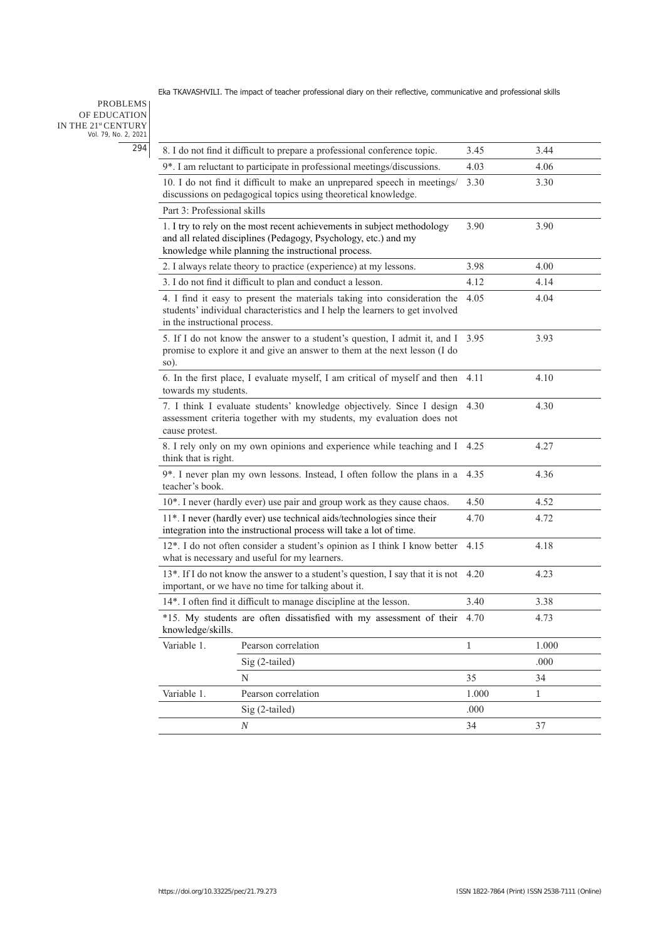## PROBLEMS OF EDUCATION IN THE 21stCENTURY Vol. 79, No. 2, 2021 294

|                                                                                                                                                       | 8. I do not find it difficult to prepare a professional conference topic.                                                                                                                         | 3.45         | 3.44  |
|-------------------------------------------------------------------------------------------------------------------------------------------------------|---------------------------------------------------------------------------------------------------------------------------------------------------------------------------------------------------|--------------|-------|
|                                                                                                                                                       | 9*. I am reluctant to participate in professional meetings/discussions.                                                                                                                           | 4.03         | 4.06  |
|                                                                                                                                                       | 10. I do not find it difficult to make an unprepared speech in meetings/<br>discussions on pedagogical topics using theoretical knowledge.                                                        | 3.30         | 3.30  |
| Part 3: Professional skills                                                                                                                           |                                                                                                                                                                                                   |              |       |
|                                                                                                                                                       | 1. I try to rely on the most recent achievements in subject methodology<br>and all related disciplines (Pedagogy, Psychology, etc.) and my<br>knowledge while planning the instructional process. | 3.90         | 3.90  |
|                                                                                                                                                       | 2. I always relate theory to practice (experience) at my lessons.                                                                                                                                 | 3.98         | 4.00  |
|                                                                                                                                                       | 3. I do not find it difficult to plan and conduct a lesson.                                                                                                                                       | 4.12         | 4.14  |
| in the instructional process.                                                                                                                         | 4. I find it easy to present the materials taking into consideration the<br>students' individual characteristics and I help the learners to get involved                                          | 4.05         | 4.04  |
| so).                                                                                                                                                  | 5. If I do not know the answer to a student's question, I admit it, and I 3.95<br>promise to explore it and give an answer to them at the next lesson (I do                                       |              | 3.93  |
| 6. In the first place, I evaluate myself, I am critical of myself and then<br>4.10<br>4.11<br>towards my students.                                    |                                                                                                                                                                                                   |              |       |
| cause protest.                                                                                                                                        | 7. I think I evaluate students' knowledge objectively. Since I design 4.30<br>assessment criteria together with my students, my evaluation does not                                               |              | 4.30  |
| think that is right.                                                                                                                                  | 8. I rely only on my own opinions and experience while teaching and I                                                                                                                             | 4.25         | 4.27  |
| teacher's book.                                                                                                                                       | 9*. I never plan my own lessons. Instead, I often follow the plans in a                                                                                                                           | 4.35         | 4.36  |
|                                                                                                                                                       | 10*. I never (hardly ever) use pair and group work as they cause chaos.                                                                                                                           | 4.50         | 4.52  |
|                                                                                                                                                       | 11*. I never (hardly ever) use technical aids/technologies since their<br>integration into the instructional process will take a lot of time.                                                     | 4.70         | 4.72  |
|                                                                                                                                                       | 12*. I do not often consider a student's opinion as I think I know better<br>what is necessary and useful for my learners.                                                                        | 4.15         | 4.18  |
| 13*. If I do not know the answer to a student's question, I say that it is not<br>4.23<br>4.20<br>important, or we have no time for talking about it. |                                                                                                                                                                                                   |              |       |
|                                                                                                                                                       | 14*. I often find it difficult to manage discipline at the lesson.                                                                                                                                | 3.40         | 3.38  |
| knowledge/skills.                                                                                                                                     | *15. My students are often dissatisfied with my assessment of their                                                                                                                               | 4.70         | 4.73  |
| Variable 1.                                                                                                                                           | Pearson correlation                                                                                                                                                                               | $\mathbf{1}$ | 1.000 |
|                                                                                                                                                       | Sig (2-tailed)                                                                                                                                                                                    |              | .000  |
|                                                                                                                                                       | N                                                                                                                                                                                                 | 35           | 34    |
| Variable 1.                                                                                                                                           | Pearson correlation                                                                                                                                                                               | 1.000        | 1     |
|                                                                                                                                                       | Sig (2-tailed)                                                                                                                                                                                    | .000         |       |
|                                                                                                                                                       | $\boldsymbol{N}$                                                                                                                                                                                  | 34           | 37    |